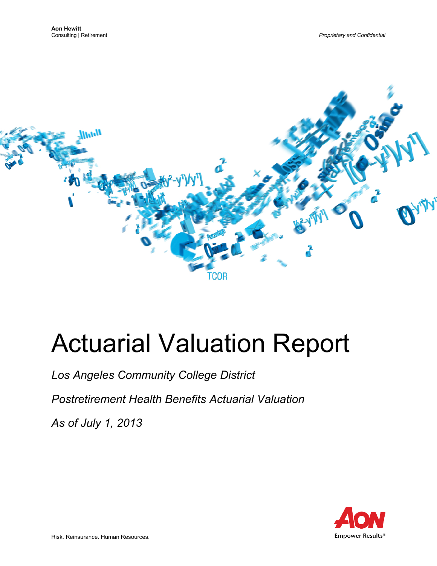

# Actuarial Valuation Report

*Los Angeles Community College District*

*Postretirement Health Benefits Actuarial Valuation*

*As of July 1, 2013*

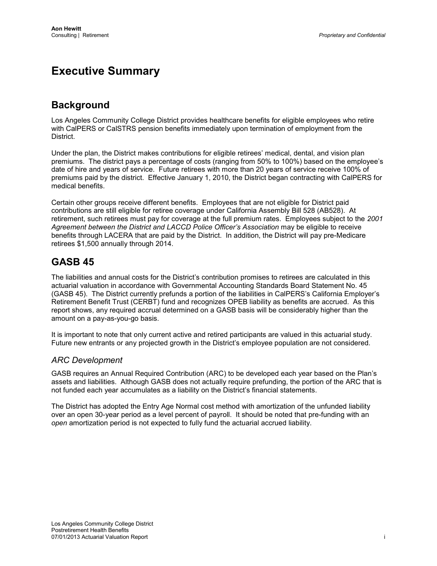# **Executive Summary**

# **Background**

Los Angeles Community College District provides healthcare benefits for eligible employees who retire with CalPERS or CalSTRS pension benefits immediately upon termination of employment from the District.

Under the plan, the District makes contributions for eligible retirees' medical, dental, and vision plan premiums. The district pays a percentage of costs (ranging from 50% to 100%) based on the employee's date of hire and years of service. Future retirees with more than 20 years of service receive 100% of premiums paid by the district. Effective January 1, 2010, the District began contracting with CalPERS for medical benefits.

Certain other groups receive different benefits. Employees that are not eligible for District paid contributions are still eligible for retiree coverage under California Assembly Bill 528 (AB528). At retirement, such retirees must pay for coverage at the full premium rates. Employees subject to the *2001 Agreement between the District and LACCD Police Officer's Association* may be eligible to receive benefits through LACERA that are paid by the District. In addition, the District will pay pre-Medicare retirees \$1,500 annually through 2014.

# **GASB 45**

The liabilities and annual costs for the District's contribution promises to retirees are calculated in this actuarial valuation in accordance with Governmental Accounting Standards Board Statement No. 45 (GASB 45). The District currently prefunds a portion of the liabilities in CalPERS's California Employer's Retirement Benefit Trust (CERBT) fund and recognizes OPEB liability as benefits are accrued. As this report shows, any required accrual determined on a GASB basis will be considerably higher than the amount on a pay-as-you-go basis.

It is important to note that only current active and retired participants are valued in this actuarial study. Future new entrants or any projected growth in the District's employee population are not considered.

# *ARC Development*

GASB requires an Annual Required Contribution (ARC) to be developed each year based on the Plan's assets and liabilities. Although GASB does not actually require prefunding, the portion of the ARC that is not funded each year accumulates as a liability on the District's financial statements.

The District has adopted the Entry Age Normal cost method with amortization of the unfunded liability over an open 30-year period as a level percent of payroll. It should be noted that pre-funding with an *open* amortization period is not expected to fully fund the actuarial accrued liability.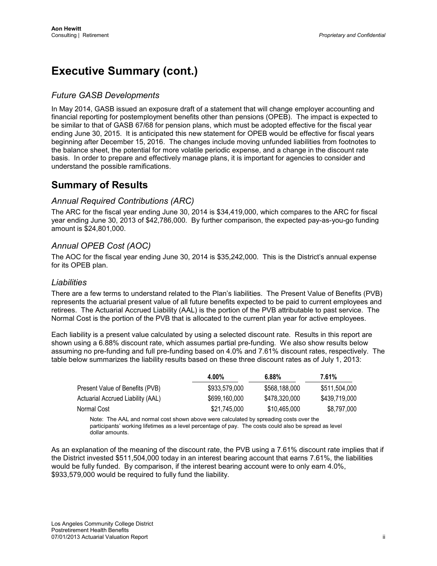# **Executive Summary (cont.)**

# *Future GASB Developments*

In May 2014, GASB issued an exposure draft of a statement that will change employer accounting and financial reporting for postemployment benefits other than pensions (OPEB). The impact is expected to be similar to that of GASB 67/68 for pension plans, which must be adopted effective for the fiscal year ending June 30, 2015. It is anticipated this new statement for OPEB would be effective for fiscal years beginning after December 15, 2016. The changes include moving unfunded liabilities from footnotes to the balance sheet, the potential for more volatile periodic expense, and a change in the discount rate basis. In order to prepare and effectively manage plans, it is important for agencies to consider and understand the possible ramifications.

# **Summary of Results**

# *Annual Required Contributions (ARC)*

The ARC for the fiscal year ending June 30, 2014 is \$34,419,000, which compares to the ARC for fiscal year ending June 30, 2013 of \$42,786,000. By further comparison, the expected pay-as-you-go funding amount is \$24,801,000.

# *Annual OPEB Cost (AOC)*

The AOC for the fiscal year ending June 30, 2014 is \$35,242,000. This is the District's annual expense for its OPEB plan.

### *Liabilities*

There are a few terms to understand related to the Plan's liabilities. The Present Value of Benefits (PVB) represents the actuarial present value of all future benefits expected to be paid to current employees and retirees. The Actuarial Accrued Liability (AAL) is the portion of the PVB attributable to past service. The Normal Cost is the portion of the PVB that is allocated to the current plan year for active employees.

Each liability is a present value calculated by using a selected discount rate. Results in this report are shown using a 6.88% discount rate, which assumes partial pre-funding. We also show results below assuming no pre-funding and full pre-funding based on 4.0% and 7.61% discount rates, respectively. The table below summarizes the liability results based on these three discount rates as of July 1, 2013:

|                                   | 4.00%         | 6.88%         | 7.61%         |  |
|-----------------------------------|---------------|---------------|---------------|--|
| Present Value of Benefits (PVB)   | \$933,579,000 | \$568,188,000 | \$511,504,000 |  |
| Actuarial Accrued Liability (AAL) | \$699,160,000 | \$478.320.000 | \$439,719,000 |  |
| Normal Cost                       | \$21,745,000  | \$10,465,000  | \$8,797,000   |  |

Note: The AAL and normal cost shown above were calculated by spreading costs over the participants' working lifetimes as a level percentage of pay. The costs could also be spread as level dollar amounts.

As an explanation of the meaning of the discount rate, the PVB using a 7.61% discount rate implies that if the District invested \$511,504,000 today in an interest bearing account that earns 7.61%, the liabilities would be fully funded. By comparison, if the interest bearing account were to only earn 4.0%, \$933,579,000 would be required to fully fund the liability.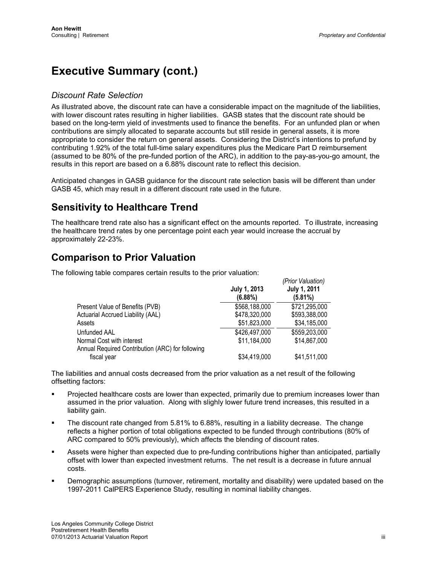# **Executive Summary (cont.)**

# *Discount Rate Selection*

As illustrated above, the discount rate can have a considerable impact on the magnitude of the liabilities, with lower discount rates resulting in higher liabilities. GASB states that the discount rate should be based on the long-term yield of investments used to finance the benefits. For an unfunded plan or when contributions are simply allocated to separate accounts but still reside in general assets, it is more appropriate to consider the return on general assets. Considering the District's intentions to prefund by contributing 1.92% of the total full-time salary expenditures plus the Medicare Part D reimbursement (assumed to be 80% of the pre-funded portion of the ARC), in addition to the pay-as-you-go amount, the results in this report are based on a 6.88% discount rate to reflect this decision.

Anticipated changes in GASB guidance for the discount rate selection basis will be different than under GASB 45, which may result in a different discount rate used in the future.

# **Sensitivity to Healthcare Trend**

The healthcare trend rate also has a significant effect on the amounts reported. To illustrate, increasing the healthcare trend rates by one percentage point each year would increase the accrual by approximately 22-23%.

*(Prior Valuation)*

# **Comparison to Prior Valuation**

The following table compares certain results to the prior valuation:

|                                                                               | July 1, 2013<br>(6.88%) | 1.10111010000011<br><b>July 1, 2011</b><br>(5.81%) |
|-------------------------------------------------------------------------------|-------------------------|----------------------------------------------------|
| Present Value of Benefits (PVB)                                               | \$568,188,000           | \$721,295,000                                      |
| Actuarial Accrued Liability (AAL)                                             | \$478,320,000           | \$593,388,000                                      |
| Assets                                                                        | \$51,823,000            | \$34,185,000                                       |
| Unfunded AAL                                                                  | \$426,497,000           | \$559,203,000                                      |
| Normal Cost with interest<br>Annual Required Contribution (ARC) for following | \$11,184,000            | \$14,867,000                                       |
| fiscal year                                                                   | \$34,419,000            | \$41,511,000                                       |

The liabilities and annual costs decreased from the prior valuation as a net result of the following offsetting factors:

- Projected healthcare costs are lower than expected, primarily due to premium increases lower than assumed in the prior valuation. Along with slighly lower future trend increases, this resulted in a liability gain.
- The discount rate changed from 5.81% to 6.88%, resulting in a liability decrease. The change reflects a higher portion of total obligations expected to be funded through contributions (80% of ARC compared to 50% previously), which affects the blending of discount rates.
- Assets were higher than expected due to pre-funding contributions higher than anticipated, partially offset with lower than expected investment returns. The net result is a decrease in future annual costs.
- Demographic assumptions (turnover, retirement, mortality and disability) were updated based on the 1997-2011 CalPERS Experience Study, resulting in nominal liability changes.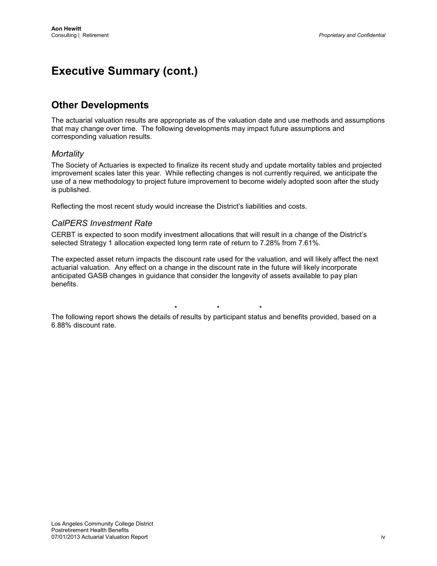# **Executive Summary (cont.)**

# **Other Developments**

The actuarial valuation results are appropriate as of the valuation date and use methods and assumptions that may change over time. The following developments may impact future assumptions and corresponding valuation results.

### *Mortality*

The Society of Actuaries is expected to finalize its recent study and update mortality tables and projected improvement scales later this year. While reflecting changes is not currently required, we anticipate the use of a new methodology to project future improvement to become widely adopted soon after the study is published.

Reflecting the most recent study would increase the District's liabilities and costs.

# *CalPERS Investment Rate*

CERBT is expected to soon modify investment allocations that will result in a change of the District's selected Strategy 1 allocation expected long term rate of return to 7.28% from 7.61%.

The expected asset return impacts the discount rate used for the valuation, and will likely affect the next actuarial valuation. Any effect on a change in the discount rate in the future will likely incorporate anticipated GASB changes in guidance that consider the longevity of assets available to pay plan benefits.

\* \* \* The following report shows the details of results by participant status and benefits provided, based on a 6.88% discount rate.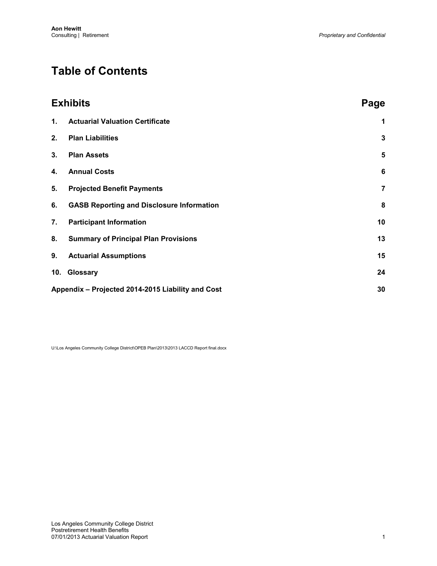# **Table of Contents**

|    | <b>Exhibits</b>                                   | Page           |
|----|---------------------------------------------------|----------------|
| 1. | <b>Actuarial Valuation Certificate</b>            | 1              |
| 2. | <b>Plan Liabilities</b>                           | 3              |
| 3. | <b>Plan Assets</b>                                | $5\phantom{1}$ |
| 4. | <b>Annual Costs</b>                               | 6              |
| 5. | <b>Projected Benefit Payments</b>                 | $\overline{7}$ |
| 6. | <b>GASB Reporting and Disclosure Information</b>  | 8              |
| 7. | <b>Participant Information</b>                    | 10             |
| 8. | <b>Summary of Principal Plan Provisions</b>       | 13             |
| 9. | <b>Actuarial Assumptions</b>                      | 15             |
|    | 10. Glossary                                      | 24             |
|    | Appendix - Projected 2014-2015 Liability and Cost | 30             |

U:\Los Angeles Community College District\OPEB Plan\2013\2013 LACCD Report final.docx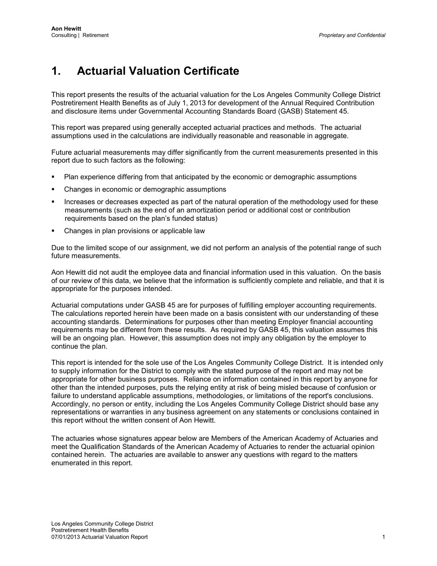# <span id="page-6-0"></span>**1. Actuarial Valuation Certificate**

This report presents the results of the actuarial valuation for the Los Angeles Community College District Postretirement Health Benefits as of July 1, 2013 for development of the Annual Required Contribution and disclosure items under Governmental Accounting Standards Board (GASB) Statement 45.

This report was prepared using generally accepted actuarial practices and methods. The actuarial assumptions used in the calculations are individually reasonable and reasonable in aggregate.

Future actuarial measurements may differ significantly from the current measurements presented in this report due to such factors as the following:

- Plan experience differing from that anticipated by the economic or demographic assumptions
- Changes in economic or demographic assumptions
- Increases or decreases expected as part of the natural operation of the methodology used for these measurements (such as the end of an amortization period or additional cost or contribution requirements based on the plan's funded status)
- Changes in plan provisions or applicable law

Due to the limited scope of our assignment, we did not perform an analysis of the potential range of such future measurements.

Aon Hewitt did not audit the employee data and financial information used in this valuation. On the basis of our review of this data, we believe that the information is sufficiently complete and reliable, and that it is appropriate for the purposes intended.

Actuarial computations under GASB 45 are for purposes of fulfilling employer accounting requirements. The calculations reported herein have been made on a basis consistent with our understanding of these accounting standards. Determinations for purposes other than meeting Employer financial accounting requirements may be different from these results. As required by GASB 45, this valuation assumes this will be an ongoing plan. However, this assumption does not imply any obligation by the employer to continue the plan.

This report is intended for the sole use of the Los Angeles Community College District. It is intended only to supply information for the District to comply with the stated purpose of the report and may not be appropriate for other business purposes. Reliance on information contained in this report by anyone for other than the intended purposes, puts the relying entity at risk of being misled because of confusion or failure to understand applicable assumptions, methodologies, or limitations of the report's conclusions. Accordingly, no person or entity, including the Los Angeles Community College District should base any representations or warranties in any business agreement on any statements or conclusions contained in this report without the written consent of Aon Hewitt.

The actuaries whose signatures appear below are Members of the American Academy of Actuaries and meet the Qualification Standards of the American Academy of Actuaries to render the actuarial opinion contained herein. The actuaries are available to answer any questions with regard to the matters enumerated in this report.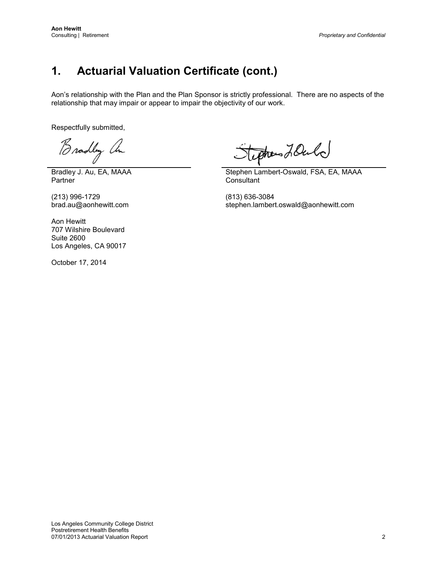# **1. Actuarial Valuation Certificate (cont.)**

Aon's relationship with the Plan and the Plan Sponsor is strictly professional. There are no aspects of the relationship that may impair or appear to impair the objectivity of our work.

Respectfully submitted,

Bradley an

Bradley J. Au, EA, MAAA **Partner** 

(213) 996-1729 (213) 996-1729 (813) 636-3084<br>brad.au@aonhewitt.com stephen.lamber

tephones LOuld

Stephen Lambert-Oswald, FSA, EA, MAAA **Consultant** 

stephen.lambert.oswald@aonhewitt.com

Aon Hewitt 707 Wilshire Boulevard Suite 2600 Los Angeles, CA 90017

October 17, 2014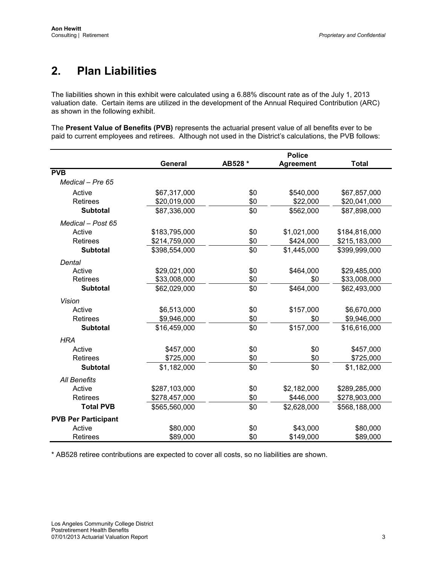# <span id="page-8-0"></span>**2. Plan Liabilities**

The liabilities shown in this exhibit were calculated using a 6.88% discount rate as of the July 1, 2013 valuation date. Certain items are utilized in the development of the Annual Required Contribution (ARC) as shown in the following exhibit.

The **Present Value of Benefits (PVB)** represents the actuarial present value of all benefits ever to be paid to current employees and retirees. Although not used in the District's calculations, the PVB follows:

|                            |               | <b>Police</b> |                  |               |  |  |
|----------------------------|---------------|---------------|------------------|---------------|--|--|
|                            | General       | AB528 *       | <b>Agreement</b> | <b>Total</b>  |  |  |
| <b>PVB</b>                 |               |               |                  |               |  |  |
| Medical - Pre 65           |               |               |                  |               |  |  |
| Active                     | \$67,317,000  | \$0           | \$540,000        | \$67,857,000  |  |  |
| <b>Retirees</b>            | \$20,019,000  | \$0           | \$22,000         | \$20,041,000  |  |  |
| <b>Subtotal</b>            | \$87,336,000  | \$0           | \$562,000        | \$87,898,000  |  |  |
| Medical - Post 65          |               |               |                  |               |  |  |
| Active                     | \$183,795,000 | \$0           | \$1,021,000      | \$184,816,000 |  |  |
| <b>Retirees</b>            | \$214,759,000 | \$0           | \$424,000        | \$215,183,000 |  |  |
| <b>Subtotal</b>            | \$398,554,000 | \$0           | \$1,445,000      | \$399,999,000 |  |  |
| Dental                     |               |               |                  |               |  |  |
| Active                     | \$29,021,000  | \$0           | \$464,000        | \$29,485,000  |  |  |
| <b>Retirees</b>            | \$33,008,000  | \$0           | \$0              | \$33,008,000  |  |  |
| <b>Subtotal</b>            | \$62,029,000  | \$0           | \$464,000        | \$62,493,000  |  |  |
| <b>Vision</b>              |               |               |                  |               |  |  |
| Active                     | \$6,513,000   | \$0           | \$157,000        | \$6,670,000   |  |  |
| <b>Retirees</b>            | \$9,946,000   | \$0           | \$0              | \$9,946,000   |  |  |
| <b>Subtotal</b>            | \$16,459,000  | \$0           | \$157,000        | \$16,616,000  |  |  |
| <b>HRA</b>                 |               |               |                  |               |  |  |
| Active                     | \$457,000     | \$0           | \$0              | \$457,000     |  |  |
| Retirees                   | \$725,000     | \$0           | \$0              | \$725,000     |  |  |
| <b>Subtotal</b>            | \$1,182,000   | \$0           | \$0              | \$1,182,000   |  |  |
| <b>All Benefits</b>        |               |               |                  |               |  |  |
| Active                     | \$287,103,000 | \$0           | \$2,182,000      | \$289,285,000 |  |  |
| <b>Retirees</b>            | \$278,457,000 | \$0           | \$446,000        | \$278,903,000 |  |  |
| <b>Total PVB</b>           | \$565,560,000 | \$0           | \$2,628,000      | \$568,188,000 |  |  |
| <b>PVB Per Participant</b> |               |               |                  |               |  |  |
| Active                     | \$80,000      | \$0           | \$43,000         | \$80,000      |  |  |
| <b>Retirees</b>            | \$89,000      | \$0           | \$149,000        | \$89,000      |  |  |

\* AB528 retiree contributions are expected to cover all costs, so no liabilities are shown.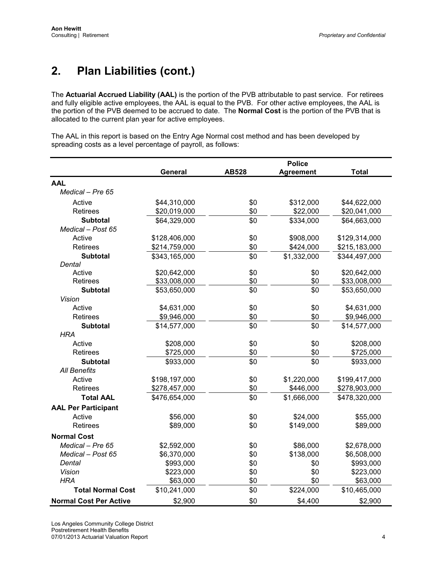# **2. Plan Liabilities (cont.)**

The **Actuarial Accrued Liability (AAL)** is the portion of the PVB attributable to past service. For retirees and fully eligible active employees, the AAL is equal to the PVB. For other active employees, the AAL is the portion of the PVB deemed to be accrued to date. The **Normal Cost** is the portion of the PVB that is allocated to the current plan year for active employees.

The AAL in this report is based on the Entry Age Normal cost method and has been developed by spreading costs as a level percentage of payroll, as follows:

|                               |               | <b>Police</b> |                  |               |  |  |
|-------------------------------|---------------|---------------|------------------|---------------|--|--|
|                               | General       | <b>AB528</b>  | <b>Agreement</b> | <b>Total</b>  |  |  |
| <b>AAL</b>                    |               |               |                  |               |  |  |
| Medical - Pre 65              |               |               |                  |               |  |  |
| Active                        | \$44,310,000  | \$0           | \$312,000        | \$44,622,000  |  |  |
| <b>Retirees</b>               | \$20,019,000  | \$0           | \$22,000         | \$20,041,000  |  |  |
| <b>Subtotal</b>               | \$64,329,000  | \$0           | \$334,000        | \$64,663,000  |  |  |
| Medical - Post 65             |               |               |                  |               |  |  |
| Active                        | \$128,406,000 | \$0           | \$908,000        | \$129,314,000 |  |  |
| Retirees                      | \$214,759,000 | \$0           | \$424,000        | \$215,183,000 |  |  |
| <b>Subtotal</b>               | \$343,165,000 | \$0           | \$1,332,000      | \$344,497,000 |  |  |
| Dental                        |               |               |                  |               |  |  |
| Active                        | \$20,642,000  | \$0           | \$0              | \$20,642,000  |  |  |
| <b>Retirees</b>               | \$33,008,000  | \$0           | \$0              | \$33,008,000  |  |  |
| Subtotal                      | \$53,650,000  | \$0           | \$0              | \$53,650,000  |  |  |
| Vision                        |               |               |                  |               |  |  |
| Active                        | \$4,631,000   | \$0           | \$0              | \$4,631,000   |  |  |
| <b>Retirees</b>               | \$9,946,000   | \$0           | \$0              | \$9,946,000   |  |  |
| <b>Subtotal</b>               | \$14,577,000  | \$0           | \$0              | \$14,577,000  |  |  |
| <b>HRA</b>                    |               |               |                  |               |  |  |
| Active                        | \$208,000     | \$0           | \$0              | \$208,000     |  |  |
| <b>Retirees</b>               | \$725,000     | \$0           | \$0              | \$725,000     |  |  |
| <b>Subtotal</b>               | \$933,000     | \$0           | \$0              | \$933,000     |  |  |
| <b>All Benefits</b>           |               |               |                  |               |  |  |
| Active                        | \$198,197,000 | \$0           | \$1,220,000      | \$199,417,000 |  |  |
| <b>Retirees</b>               | \$278,457,000 | \$0           | \$446,000        | \$278,903,000 |  |  |
| <b>Total AAL</b>              | \$476,654,000 | \$0           | \$1,666,000      | \$478,320,000 |  |  |
| <b>AAL Per Participant</b>    |               |               |                  |               |  |  |
| Active                        | \$56,000      | \$0           | \$24,000         | \$55,000      |  |  |
| Retirees                      | \$89,000      | \$0           | \$149,000        | \$89,000      |  |  |
| <b>Normal Cost</b>            |               |               |                  |               |  |  |
| Medical - Pre 65              | \$2,592,000   | \$0           | \$86,000         | \$2,678,000   |  |  |
| Medical - Post 65             | \$6,370,000   | \$0           | \$138,000        | \$6,508,000   |  |  |
| Dental                        | \$993,000     | \$0           | \$0              | \$993,000     |  |  |
| Vision                        | \$223,000     | \$0           | \$0              | \$223,000     |  |  |
| <b>HRA</b>                    | \$63,000      | \$0           | \$0              | \$63,000      |  |  |
| <b>Total Normal Cost</b>      | \$10,241,000  | \$0           | \$224,000        | \$10,465,000  |  |  |
| <b>Normal Cost Per Active</b> | \$2,900       | \$0           | \$4,400          | \$2,900       |  |  |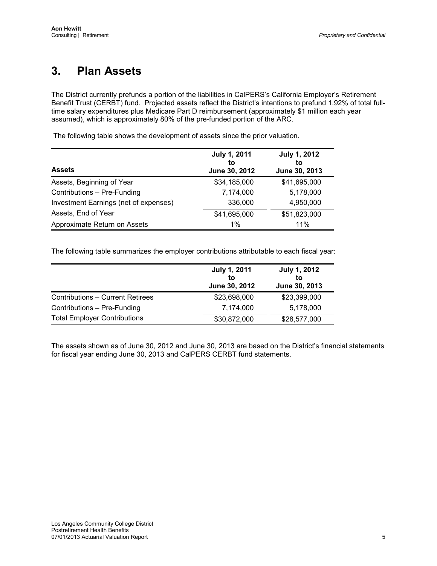# <span id="page-10-0"></span>**3. Plan Assets**

The District currently prefunds a portion of the liabilities in CalPERS's California Employer's Retirement Benefit Trust (CERBT) fund. Projected assets reflect the District's intentions to prefund 1.92% of total fulltime salary expenditures plus Medicare Part D reimbursement (approximately \$1 million each year assumed), which is approximately 80% of the pre-funded portion of the ARC.

The following table shows the development of assets since the prior valuation.

| <b>Assets</b>                         | <b>July 1, 2011</b><br>to<br>June 30, 2012 | <b>July 1, 2012</b><br>to<br>June 30, 2013 |
|---------------------------------------|--------------------------------------------|--------------------------------------------|
| Assets, Beginning of Year             | \$34,185,000                               | \$41,695,000                               |
| Contributions - Pre-Funding           | 7,174,000                                  | 5,178,000                                  |
| Investment Earnings (net of expenses) | 336,000                                    | 4,950,000                                  |
| Assets, End of Year                   | \$41,695,000                               | \$51,823,000                               |
| Approximate Return on Assets          | 1%                                         | 11%                                        |

The following table summarizes the employer contributions attributable to each fiscal year:

|                                         | <b>July 1, 2011</b><br>to<br>June 30, 2012 | <b>July 1, 2012</b><br>to<br>June 30, 2013 |
|-----------------------------------------|--------------------------------------------|--------------------------------------------|
| <b>Contributions - Current Retirees</b> | \$23,698,000                               | \$23,399,000                               |
| Contributions - Pre-Funding             | 7,174,000                                  | 5,178,000                                  |
| <b>Total Employer Contributions</b>     | \$30,872,000                               | \$28,577,000                               |

The assets shown as of June 30, 2012 and June 30, 2013 are based on the District's financial statements for fiscal year ending June 30, 2013 and CalPERS CERBT fund statements.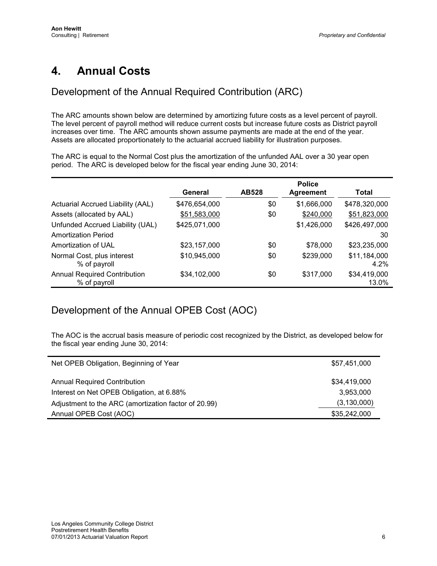# <span id="page-11-0"></span>**4. Annual Costs**

# Development of the Annual Required Contribution (ARC)

The ARC amounts shown below are determined by amortizing future costs as a level percent of payroll. The level percent of payroll method will reduce current costs but increase future costs as District payroll increases over time. The ARC amounts shown assume payments are made at the end of the year. Assets are allocated proportionately to the actuarial accrued liability for illustration purposes.

The ARC is equal to the Normal Cost plus the amortization of the unfunded AAL over a 30 year open period. The ARC is developed below for the fiscal year ending June 30, 2014:

|                                                     |               |       | <b>Police</b>    |                       |
|-----------------------------------------------------|---------------|-------|------------------|-----------------------|
|                                                     | General       | AB528 | <b>Agreement</b> | Total                 |
| Actuarial Accrued Liability (AAL)                   | \$476,654,000 | \$0   | \$1,666,000      | \$478,320,000         |
| Assets (allocated by AAL)                           | \$51,583,000  | \$0   | \$240,000        | \$51,823,000          |
| Unfunded Accrued Liability (UAL)                    | \$425,071,000 |       | \$1,426,000      | \$426,497,000         |
| <b>Amortization Period</b>                          |               |       |                  | 30                    |
| Amortization of UAL                                 | \$23,157,000  | \$0   | \$78,000         | \$23,235,000          |
| Normal Cost, plus interest<br>% of payroll          | \$10,945,000  | \$0   | \$239,000        | \$11,184,000<br>4.2%  |
| <b>Annual Required Contribution</b><br>% of payroll | \$34,102,000  | \$0   | \$317,000        | \$34,419,000<br>13.0% |

# Development of the Annual OPEB Cost (AOC)

The AOC is the accrual basis measure of periodic cost recognized by the District, as developed below for the fiscal year ending June 30, 2014:

| Net OPEB Obligation, Beginning of Year               | \$57,451,000  |
|------------------------------------------------------|---------------|
| <b>Annual Required Contribution</b>                  | \$34,419,000  |
|                                                      |               |
| Interest on Net OPEB Obligation, at 6.88%            | 3,953,000     |
| Adjustment to the ARC (amortization factor of 20.99) | (3, 130, 000) |
| Annual OPEB Cost (AOC)                               | \$35,242,000  |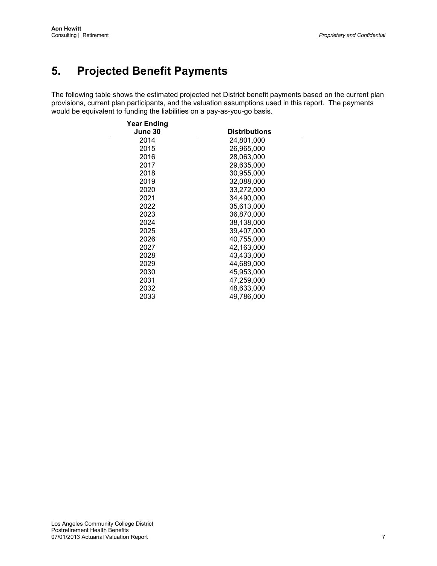# <span id="page-12-0"></span>**5. Projected Benefit Payments**

The following table shows the estimated projected net District benefit payments based on the current plan provisions, current plan participants, and the valuation assumptions used in this report. The payments would be equivalent to funding the liabilities on a pay-as-you-go basis.

| Year Ending<br>June 30 | <b>Distributions</b> |
|------------------------|----------------------|
| 2014                   | 24,801,000           |
| 2015                   | 26,965,000           |
| 2016                   | 28,063,000           |
| 2017                   | 29,635,000           |
| 2018                   | 30,955,000           |
| 2019                   | 32,088,000           |
| 2020                   | 33,272,000           |
| 2021                   | 34,490,000           |
| 2022                   | 35,613,000           |
| 2023                   | 36,870,000           |
| 2024                   | 38,138,000           |
| 2025                   | 39,407,000           |
| 2026                   | 40,755,000           |
| 2027                   | 42,163,000           |
| 2028                   | 43,433,000           |
| 2029                   | 44,689,000           |
| 2030                   | 45,953,000           |
| 2031                   | 47,259,000           |
| 2032                   | 48,633,000           |
| 2033                   | 49,786,000           |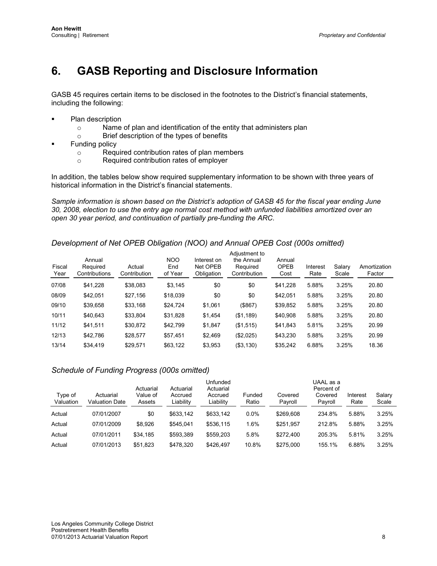# <span id="page-13-0"></span>**6. GASB Reporting and Disclosure Information**

GASB 45 requires certain items to be disclosed in the footnotes to the District's financial statements, including the following:

- Plan description
	- $\circ$  Name of plan and identification of the entity that administers plan  $\circ$  Brief description of the types of benefits
	- Brief description of the types of benefits
- Funding policy
	- $\circ$  Required contribution rates of plan members<br> $\circ$  Required contribution rates of emplover
	- Required contribution rates of employer

In addition, the tables below show required supplementary information to be shown with three years of historical information in the District's financial statements.

*Sample information is shown based on the District's adoption of GASB 45 for the fiscal year ending June 30, 2008, election to use the entry age normal cost method with unfunded liabilities amortized over an open 30 year period, and continuation of partially pre-funding the ARC.*

# *Development of Net OPEB Obligation (NOO) and Annual OPEB Cost (000s omitted)*

| Fiscal<br>Year | Annual<br>Required<br>Contributions | Actual<br>Contribution | <b>NOO</b><br>End<br>of Year | Interest on<br>Net OPEB<br>Obligation | Adjustment to<br>the Annual<br>Required<br>Contribution | Annual<br><b>OPEB</b><br>Cost | Interest<br>Rate | Salary<br>Scale | Amortization<br>Factor |
|----------------|-------------------------------------|------------------------|------------------------------|---------------------------------------|---------------------------------------------------------|-------------------------------|------------------|-----------------|------------------------|
| 07/08          | \$41.228                            | \$38,083               | \$3.145                      | \$0                                   | \$0                                                     | \$41.228                      | 5.88%            | 3.25%           | 20.80                  |
| 08/09          | \$42.051                            | \$27.156               | \$18,039                     | \$0                                   | \$0                                                     | \$42.051                      | 5.88%            | 3.25%           | 20.80                  |
| 09/10          | \$39,658                            | \$33.168               | \$24.724                     | \$1,061                               | (\$867)                                                 | \$39.852                      | 5.88%            | 3.25%           | 20.80                  |
| 10/11          | \$40.643                            | \$33.804               | \$31.828                     | \$1.454                               | (\$1,189)                                               | \$40,908                      | 5.88%            | 3.25%           | 20.80                  |
| 11/12          | \$41.511                            | \$30,872               | \$42,799                     | \$1,847                               | (\$1,515)                                               | \$41.843                      | 5.81%            | 3.25%           | 20.99                  |
| 12/13          | \$42,786                            | \$28.577               | \$57.451                     | \$2.469                               | (S2.025)                                                | \$43.230                      | 5.88%            | 3.25%           | 20.99                  |
| 13/14          | \$34,419                            | \$29.571               | \$63.122                     | \$3,953                               | (S3.130)                                                | \$35.242                      | 6.88%            | 3.25%           | 18.36                  |

### *Schedule of Funding Progress (000s omitted)*

| Type of<br>Valuation | Actuarial<br>Valuation Date | Actuarial<br>Value of<br>Assets | Actuarial<br>Accrued<br>Liability | Unfunded<br>Actuarial<br>Accrued<br>Liabilitv | Funded<br>Ratio | Covered<br>Payroll | UAAL as a<br>Percent of<br>Covered<br>Payroll | Interest<br>Rate | Salary<br>Scale |
|----------------------|-----------------------------|---------------------------------|-----------------------------------|-----------------------------------------------|-----------------|--------------------|-----------------------------------------------|------------------|-----------------|
| Actual               | 07/01/2007                  | \$0                             | \$633.142                         | \$633.142                                     | $0.0\%$         | \$269.608          | 234.8%                                        | 5.88%            | 3.25%           |
| Actual               | 07/01/2009                  | \$8.926                         | \$545.041                         | \$536.115                                     | .6%             | \$251.957          | 212.8%                                        | 5.88%            | 3.25%           |
| Actual               | 07/01/2011                  | \$34,185                        | \$593.389                         | \$559.203                                     | 5.8%            | \$272.400          | 205.3%                                        | 5.81%            | 3.25%           |
| Actual               | 07/01/2013                  | \$51,823                        | \$478,320                         | \$426.497                                     | 10.8%           | \$275,000          | 155.1%                                        | 6.88%            | 3.25%           |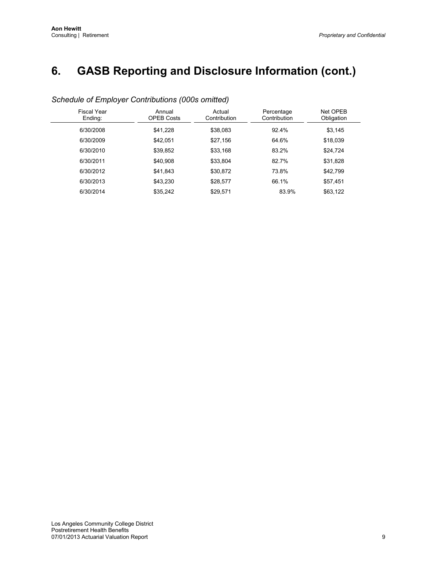# **6. GASB Reporting and Disclosure Information (cont.)**

| <b>Fiscal Year</b><br>Ending: | Annual<br><b>OPEB Costs</b> | Actual<br>Contribution | Percentage<br>Contribution | Net OPEB<br>Obligation |
|-------------------------------|-----------------------------|------------------------|----------------------------|------------------------|
| 6/30/2008                     | \$41,228                    | \$38.083               | 92.4%                      | \$3,145                |
| 6/30/2009                     | \$42.051                    | \$27,156               | 64.6%                      | \$18,039               |
| 6/30/2010                     | \$39,852                    | \$33.168               | 83.2%                      | \$24.724               |
| 6/30/2011                     | \$40,908                    | \$33,804               | 82.7%                      | \$31,828               |
| 6/30/2012                     | \$41.843                    | \$30.872               | 73.8%                      | \$42,799               |
| 6/30/2013                     | \$43.230                    | \$28,577               | 66.1%                      | \$57,451               |
| 6/30/2014                     | \$35.242                    | \$29.571               | 83.9%                      | \$63,122               |

# *Schedule of Employer Contributions (000s omitted)*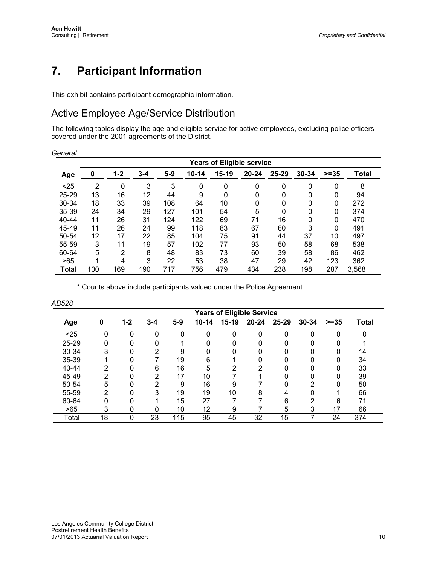# <span id="page-15-0"></span>**7. Participant Information**

This exhibit contains participant demographic information.

# Active Employee Age/Service Distribution

The following tables display the age and eligible service for active employees, excluding police officers covered under the 2001 agreements of the District.

| General |                                  |                |         |       |           |       |           |             |              |        |              |  |
|---------|----------------------------------|----------------|---------|-------|-----------|-------|-----------|-------------|--------------|--------|--------------|--|
|         | <b>Years of Eligible service</b> |                |         |       |           |       |           |             |              |        |              |  |
| Age     | 0                                | $1 - 2$        | $3 - 4$ | $5-9$ | $10 - 14$ | 15-19 | $20 - 24$ | $25 - 29$   | 30-34        | $>=35$ | <b>Total</b> |  |
| $25$    | 2                                | 0              | 3       | 3     | 0         | 0     | 0         | $\mathbf 0$ | 0            | 0      | 8            |  |
| 25-29   | 13                               | 16             | 12      | 44    | 9         | 0     | 0         | 0           | 0            | 0      | 94           |  |
| 30-34   | 18                               | 33             | 39      | 108   | 64        | 10    | 0         | $\Omega$    | $\mathbf{0}$ | 0      | 272          |  |
| 35-39   | 24                               | 34             | 29      | 127   | 101       | 54    | 5         | $\mathbf 0$ | $\mathbf 0$  | 0      | 374          |  |
| 40-44   | 11                               | 26             | 31      | 124   | 122       | 69    | 71        | 16          | 0            | 0      | 470          |  |
| 45-49   | 11                               | 26             | 24      | 99    | 118       | 83    | 67        | 60          | 3            | 0      | 491          |  |
| 50-54   | 12                               | 17             | 22      | 85    | 104       | 75    | 91        | 44          | 37           | 10     | 497          |  |
| 55-59   | 3                                | 11             | 19      | 57    | 102       | 77    | 93        | 50          | 58           | 68     | 538          |  |
| 60-64   | 5                                | $\overline{2}$ | 8       | 48    | 83        | 73    | 60        | 39          | 58           | 86     | 462          |  |
| >65     | 1                                | 4              | 3       | 22    | 53        | 38    | 47        | 29          | 42           | 123    | 362          |  |
| Total   | 100                              | 169            | 190     | 717   | 756       | 479   | 434       | 238         | 198          | 287    | 3,568        |  |

\* Counts above include participants valued under the Police Agreement.

|       | <b>Years of Eligible Service</b> |         |         |       |           |         |           |           |           |         |              |  |
|-------|----------------------------------|---------|---------|-------|-----------|---------|-----------|-----------|-----------|---------|--------------|--|
| Age   | 0                                | $1 - 2$ | $3 - 4$ | $5-9$ | $10 - 14$ | $15-19$ | $20 - 24$ | $25 - 29$ | $30 - 34$ | $>= 35$ | <b>Total</b> |  |
| $25$  | 0                                | 0       | 0       | 0     | 0         | O       | ∩         | 0         | 0         | 0       | 0            |  |
| 25-29 | 0                                |         |         |       |           |         |           |           |           |         |              |  |
| 30-34 | 3                                |         | っ       | 9     |           |         |           |           |           |         | 14           |  |
| 35-39 |                                  |         |         | 19    | 6         |         |           |           |           |         | 34           |  |
| 40-44 | 2                                |         | 6       | 16    | 5         | ົ       |           |           |           |         | 33           |  |
| 45-49 | 2                                |         | っ       | 17    | 10        |         |           |           |           | ŋ       | 39           |  |
| 50-54 | 5                                |         | ົ       | 9     | 16        | 9       |           |           | ⌒         | 0       | 50           |  |
| 55-59 | 2                                |         | 3       | 19    | 19        | 10      | 8         |           |           |         | 66           |  |
| 60-64 | 0                                |         |         | 15    | 27        |         |           | 6         | ົ         | 6       | 71           |  |
| >65   | 3                                |         | 0       | 10    | 12        | 9       |           | 5         | 3         | 17      | 66           |  |
| Total | 18                               |         | 23      | 115   | 95        | 45      | 32        | 15        |           | 24      | 374          |  |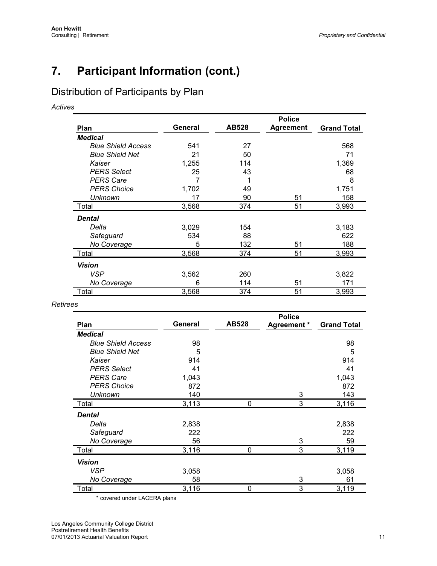# **7. Participant Information (cont.)**

# Distribution of Participants by Plan

*Actives*

|                           |         |              | <b>Police</b>    |                    |
|---------------------------|---------|--------------|------------------|--------------------|
| Plan                      | General | <b>AB528</b> | <b>Agreement</b> | <b>Grand Total</b> |
| <b>Medical</b>            |         |              |                  |                    |
| <b>Blue Shield Access</b> | 541     | 27           |                  | 568                |
| <b>Blue Shield Net</b>    | 21      | 50           |                  | 71                 |
| Kaiser                    | 1,255   | 114          |                  | 1,369              |
| <b>PERS Select</b>        | 25      | 43           |                  | 68                 |
| <b>PERS Care</b>          | 7       |              |                  | 8                  |
| <b>PERS Choice</b>        | 1,702   | 49           |                  | 1,751              |
| <b>Unknown</b>            | 17      | 90           | 51               | 158                |
| Total                     | 3,568   | 374          | 51               | 3,993              |
| <b>Dental</b>             |         |              |                  |                    |
| Delta                     | 3,029   | 154          |                  | 3,183              |
| Safeguard                 | 534     | 88           |                  | 622                |
| No Coverage               | 5       | 132          | 51               | 188                |
| Total                     | 3,568   | 374          | 51               | 3,993              |
| <b>Vision</b>             |         |              |                  |                    |
| <b>VSP</b>                | 3,562   | 260          |                  | 3,822              |
| No Coverage               | 6       | 114          | 51               | 171                |
| Total                     | 3,568   | 374          | 51               | 3,993              |

### *Retirees*

|                           |         |              | <b>Police</b> |                    |
|---------------------------|---------|--------------|---------------|--------------------|
| Plan                      | General | <b>AB528</b> | Agreement *   | <b>Grand Total</b> |
| <b>Medical</b>            |         |              |               |                    |
| <b>Blue Shield Access</b> | 98      |              |               | 98                 |
| <b>Blue Shield Net</b>    | 5       |              |               | 5                  |
| Kaiser                    | 914     |              |               | 914                |
| <b>PERS Select</b>        | 41      |              |               | 41                 |
| <b>PERS Care</b>          | 1,043   |              |               | 1,043              |
| <b>PERS Choice</b>        | 872     |              |               | 872                |
| <b>Unknown</b>            | 140     |              | 3             | 143                |
| Total                     | 3,113   | 0            | 3             | 3,116              |
| <b>Dental</b>             |         |              |               |                    |
| Delta                     | 2,838   |              |               | 2,838              |
| Safeguard                 | 222     |              |               | 222                |
| No Coverage               | 56      |              | 3             | 59                 |
| Total                     | 3,116   | $\Omega$     | 3             | 3,119              |
| <b>Vision</b>             |         |              |               |                    |
| <b>VSP</b>                | 3,058   |              |               | 3,058              |
| No Coverage               | 58      |              | 3             | 61                 |
| Total                     | 3,116   | $\Omega$     | 3             | 3,119              |

\* covered under LACERA plans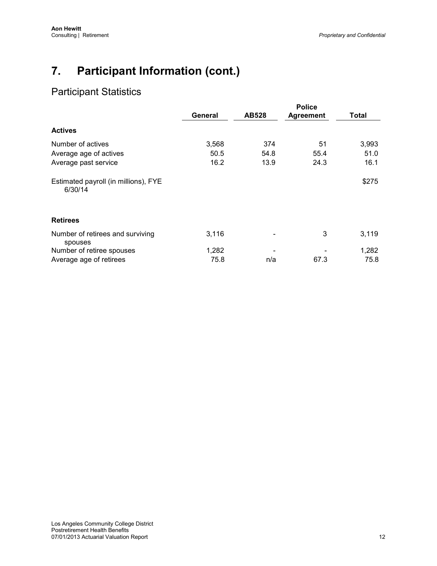# **7. Participant Information (cont.)**

# Participant Statistics

|                                                 | General | <b>AB528</b> | <b>Police</b><br><b>Agreement</b> | Total |
|-------------------------------------------------|---------|--------------|-----------------------------------|-------|
| <b>Actives</b>                                  |         |              |                                   |       |
| Number of actives                               | 3,568   | 374          | 51                                | 3,993 |
| Average age of actives                          | 50.5    | 54.8         | 55.4                              | 51.0  |
| Average past service                            | 16.2    | 13.9         | 24.3                              | 16.1  |
| Estimated payroll (in millions), FYE<br>6/30/14 |         |              |                                   | \$275 |
| <b>Retirees</b>                                 |         |              |                                   |       |
| Number of retirees and surviving<br>spouses     | 3,116   |              | 3                                 | 3,119 |
| Number of retiree spouses                       | 1,282   |              |                                   | 1,282 |
| Average age of retirees                         | 75.8    | n/a          | 67.3                              | 75.8  |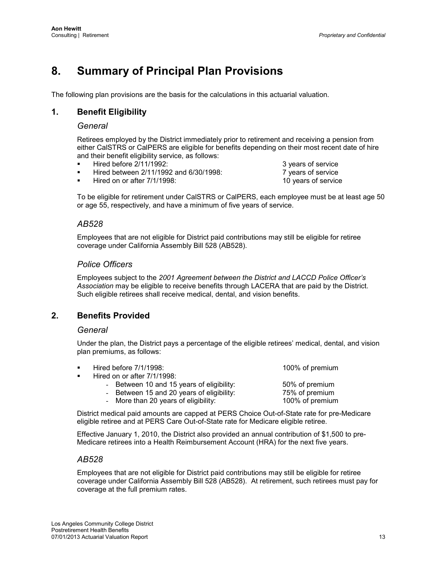# <span id="page-18-0"></span>**8. Summary of Principal Plan Provisions**

The following plan provisions are the basis for the calculations in this actuarial valuation.

# **1. Benefit Eligibility**

### *General*

Retirees employed by the District immediately prior to retirement and receiving a pension from either CalSTRS or CalPERS are eligible for benefits depending on their most recent date of hire and their benefit eligibility service, as follows:

- 
- Hired before 2/11/1992:<br>
Hired between 2/11/1992 and 6/30/1998: <br>
7 years of service Hired between 2/11/1992 and 6/30/1998: The mass of service 7 years of service and the Hired on or after 7/1/1998:
- Hired on or after  $7/1/1998$ :

To be eligible for retirement under CalSTRS or CalPERS, each employee must be at least age 50 or age 55, respectively, and have a minimum of five years of service.

### *AB528*

Employees that are not eligible for District paid contributions may still be eligible for retiree coverage under California Assembly Bill 528 (AB528).

### *Police Officers*

Employees subject to the *2001 Agreement between the District and LACCD Police Officer's Association* may be eligible to receive benefits through LACERA that are paid by the District. Such eligible retirees shall receive medical, dental, and vision benefits.

# **2. Benefits Provided**

### *General*

Under the plan, the District pays a percentage of the eligible retirees' medical, dental, and vision plan premiums, as follows:

| Hired before 7/1/1998:                    | 100% of premium |
|-------------------------------------------|-----------------|
| Hired on or after 7/1/1998:               |                 |
| - Between 10 and 15 years of eligibility: | 50% of premium  |
| - Between 15 and 20 years of eligibility: | 75% of premium  |
| - More than 20 years of eligibility:      | 100% of premium |
|                                           |                 |

District medical paid amounts are capped at PERS Choice Out-of-State rate for pre-Medicare eligible retiree and at PERS Care Out-of-State rate for Medicare eligible retiree.

Effective January 1, 2010, the District also provided an annual contribution of \$1,500 to pre-Medicare retirees into a Health Reimbursement Account (HRA) for the next five years.

### *AB528*

Employees that are not eligible for District paid contributions may still be eligible for retiree coverage under California Assembly Bill 528 (AB528). At retirement, such retirees must pay for coverage at the full premium rates.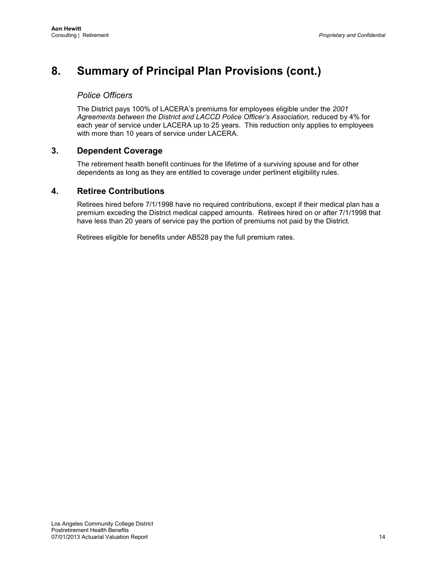# **8. Summary of Principal Plan Provisions (cont.)**

# *Police Officers*

The District pays 100% of LACERA's premiums for employees eligible under the *2001*  Agreements between the District and LACCD Police Officer's Association, reduced by 4% for each year of service under LACERA up to 25 years. This reduction only applies to employees with more than 10 years of service under LACERA.

# **3. Dependent Coverage**

The retirement health benefit continues for the lifetime of a surviving spouse and for other dependents as long as they are entitled to coverage under pertinent eligibility rules.

# **4. Retiree Contributions**

Retirees hired before 7/1/1998 have no required contributions, except if their medical plan has a premium exceding the District medical capped amounts. Retirees hired on or after 7/1/1998 that have less than 20 years of service pay the portion of premiums not paid by the District.

Retirees eligible for benefits under AB528 pay the full premium rates.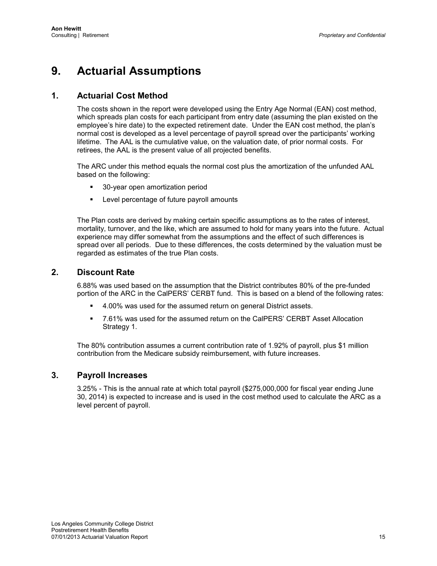# <span id="page-20-0"></span>**9. Actuarial Assumptions**

# **1. Actuarial Cost Method**

The costs shown in the report were developed using the Entry Age Normal (EAN) cost method, which spreads plan costs for each participant from entry date (assuming the plan existed on the employee's hire date) to the expected retirement date. Under the EAN cost method, the plan's normal cost is developed as a level percentage of payroll spread over the participants' working lifetime. The AAL is the cumulative value, on the valuation date, of prior normal costs. For retirees, the AAL is the present value of all projected benefits.

The ARC under this method equals the normal cost plus the amortization of the unfunded AAL based on the following:

- 30-year open amortization period
- **EXECTE Level percentage of future payroll amounts**

The Plan costs are derived by making certain specific assumptions as to the rates of interest, mortality, turnover, and the like, which are assumed to hold for many years into the future. Actual experience may differ somewhat from the assumptions and the effect of such differences is spread over all periods. Due to these differences, the costs determined by the valuation must be regarded as estimates of the true Plan costs.

# **2. Discount Rate**

6.88% was used based on the assumption that the District contributes 80% of the pre-funded portion of the ARC in the CalPERS' CERBT fund. This is based on a blend of the following rates:

- 4.00% was used for the assumed return on general District assets.
- 7.61% was used for the assumed return on the CalPERS' CERBT Asset Allocation Strategy 1.

The 80% contribution assumes a current contribution rate of 1.92% of payroll, plus \$1 million contribution from the Medicare subsidy reimbursement, with future increases.

# **3. Payroll Increases**

3.25% - This is the annual rate at which total payroll (\$275,000,000 for fiscal year ending June 30, 2014) is expected to increase and is used in the cost method used to calculate the ARC as a level percent of payroll.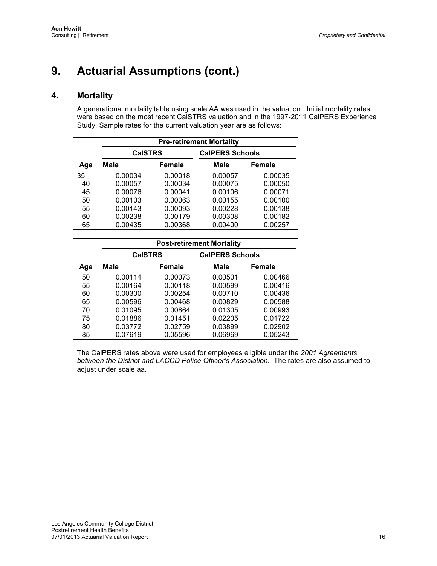# **4. Mortality**

A generational mortality table using scale AA was used in the valuation. Initial mortality rates were based on the most recent CalSTRS valuation and in the 1997-2011 CalPERS Experience Study. Sample rates for the current valuation year are as follows:

|     | <b>Pre-retirement Mortality</b> |         |                        |         |  |  |  |  |  |  |  |
|-----|---------------------------------|---------|------------------------|---------|--|--|--|--|--|--|--|
|     | <b>CalSTRS</b>                  |         | <b>CalPERS Schools</b> |         |  |  |  |  |  |  |  |
| Age | Male                            | Female  | Male                   | Female  |  |  |  |  |  |  |  |
| 35  | 0.00034                         | 0.00018 | 0.00057                | 0.00035 |  |  |  |  |  |  |  |
| 40  | 0.00057                         | 0.00034 | 0.00075                | 0.00050 |  |  |  |  |  |  |  |
| 45  | 0.00076                         | 0.00041 | 0.00106                | 0.00071 |  |  |  |  |  |  |  |
| 50  | 0.00103                         | 0.00063 | 0.00155                | 0.00100 |  |  |  |  |  |  |  |
| 55  | 0.00143                         | 0.00093 | 0.00228                | 0.00138 |  |  |  |  |  |  |  |
| 60  | 0.00238                         | 0.00179 | 0.00308                | 0.00182 |  |  |  |  |  |  |  |
| 65  | 0.00435                         | 0.00368 | 0.00400                | 0.00257 |  |  |  |  |  |  |  |

|     | <b>Post-retirement Mortality</b> |         |                        |               |  |  |  |  |  |  |
|-----|----------------------------------|---------|------------------------|---------------|--|--|--|--|--|--|
|     | <b>CalSTRS</b>                   |         | <b>CalPERS Schools</b> |               |  |  |  |  |  |  |
| Age | Male                             | Female  | Male                   | <b>Female</b> |  |  |  |  |  |  |
| 50  | 0.00114                          | 0.00073 | 0.00501                | 0.00466       |  |  |  |  |  |  |
| 55  | 0.00164                          | 0.00118 | 0.00599                | 0.00416       |  |  |  |  |  |  |
| 60  | 0.00300                          | 0.00254 | 0.00710                | 0.00436       |  |  |  |  |  |  |
| 65  | 0.00596                          | 0.00468 | 0.00829                | 0.00588       |  |  |  |  |  |  |
| 70  | 0.01095                          | 0.00864 | 0.01305                | 0.00993       |  |  |  |  |  |  |
| 75  | 0.01886                          | 0.01451 | 0.02205                | 0.01722       |  |  |  |  |  |  |
| 80  | 0.03772                          | 0.02759 | 0.03899                | 0.02902       |  |  |  |  |  |  |
| 85  | 0.07619                          | 0.05596 | 0.06969                | 0.05243       |  |  |  |  |  |  |

The CalPERS rates above were used for employees eligible under the *2001 Agreements between the District and LACCD Police Officer's Association*. The rates are also assumed to adjust under scale aa.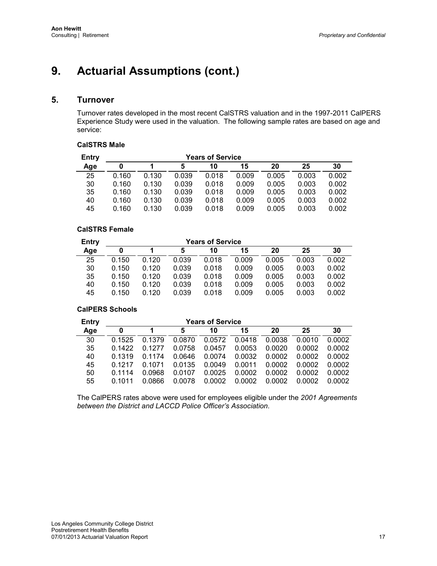# **5. Turnover**

Turnover rates developed in the most recent CalSTRS valuation and in the 1997-2011 CalPERS Experience Study were used in the valuation. The following sample rates are based on age and service:

### **CalSTRS Male**

| Entry | <b>Years of Service</b> |       |       |       |       |       |       |       |  |  |
|-------|-------------------------|-------|-------|-------|-------|-------|-------|-------|--|--|
| Age   |                         |       | 5     | 10    | 15    | 20    | 25    | 30    |  |  |
| 25    | 0.160                   | 0.130 | 0.039 | 0.018 | 0.009 | 0.005 | 0.003 | 0.002 |  |  |
| 30    | 0.160                   | 0.130 | 0.039 | 0.018 | 0.009 | 0.005 | 0.003 | 0.002 |  |  |
| 35    | 0.160                   | 0.130 | 0.039 | 0.018 | 0.009 | 0.005 | 0.003 | 0.002 |  |  |
| 40    | 0.160                   | 0.130 | 0.039 | 0.018 | 0.009 | 0.005 | 0.003 | 0.002 |  |  |
| 45    | 0.160                   | 0.130 | 0.039 | 0.018 | 0.009 | 0.005 | 0.003 | 0.002 |  |  |

### **CalSTRS Female**

| Entry | <b>Years of Service</b> |       |       |       |       |       |       |       |  |  |
|-------|-------------------------|-------|-------|-------|-------|-------|-------|-------|--|--|
| Age   | 0                       |       | 5     | 10    | 15    | 20    | 25    | 30    |  |  |
| 25    | 0.150                   | 0.120 | 0.039 | 0.018 | 0.009 | 0.005 | 0.003 | 0.002 |  |  |
| 30    | 0.150                   | 0.120 | 0.039 | 0.018 | 0.009 | 0.005 | 0.003 | 0.002 |  |  |
| 35    | 0.150                   | 0.120 | 0.039 | 0.018 | 0.009 | 0.005 | 0.003 | 0.002 |  |  |
| 40    | 0.150                   | 0.120 | 0.039 | 0.018 | 0.009 | 0.005 | 0.003 | 0.002 |  |  |
| 45    | 0.150                   | 0.120 | 0.039 | 0.018 | 0.009 | 0.005 | 0.003 | 0.002 |  |  |

### **CalPERS Schools**

| Entry | <b>Years of Service</b> |        |        |        |        |        |        |        |
|-------|-------------------------|--------|--------|--------|--------|--------|--------|--------|
| Age   | 0                       |        | 5      | 10     | 15     | 20     | 25     | 30     |
| 30    | 0.1525                  | 0.1379 | 0.0870 | 0.0572 | 0.0418 | 0.0038 | 0.0010 | 0.0002 |
| 35    | 0.1422                  | 0.1277 | 0.0758 | 0.0457 | 0.0053 | 0.0020 | 0.0002 | 0.0002 |
| 40    | 0.1319                  | 0 1174 | 0.0646 | 0.0074 | 0.0032 | 0.0002 | 0.0002 | 0.0002 |
| 45    | 0.1217                  | 0.1071 | 0.0135 | 0.0049 | 0.0011 | 0.0002 | 0.0002 | 0.0002 |
| 50    | 0 1114                  | 0.0968 | 0.0107 | 0.0025 | 0.0002 | 0.0002 | 0.0002 | 0.0002 |
| 55    | 0.1011                  | 0.0866 | 0.0078 | 0.0002 | 0.0002 | 0.0002 | 0.0002 | 0.0002 |

The CalPERS rates above were used for employees eligible under the *2001 Agreements between the District and LACCD Police Officer's Association*.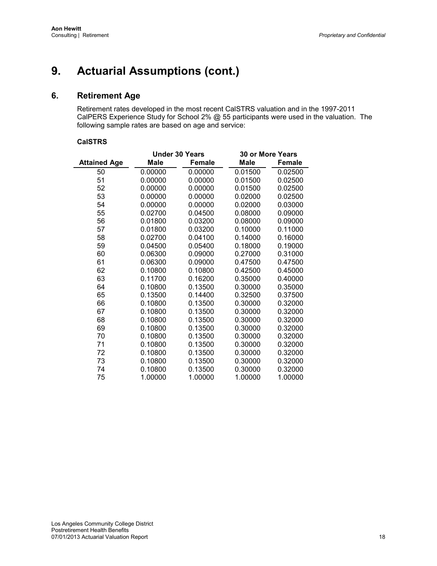# **6. Retirement Age**

Retirement rates developed in the most recent CalSTRS valuation and in the 1997-2011 CalPERS Experience Study for School 2% @ 55 participants were used in the valuation. The following sample rates are based on age and service:

#### **CalSTRS**

|                     | <b>Under 30 Years</b> |               | <b>30 or More Years</b> |               |
|---------------------|-----------------------|---------------|-------------------------|---------------|
| <b>Attained Age</b> | Male                  | <b>Female</b> | Male                    | <b>Female</b> |
| 50                  | 0.00000               | 0.00000       | 0.01500                 | 0.02500       |
| 51                  | 0.00000               | 0.00000       | 0.01500                 | 0.02500       |
| 52                  | 0.00000               | 0.00000       | 0.01500                 | 0.02500       |
| 53                  | 0.00000               | 0.00000       | 0.02000                 | 0.02500       |
| 54                  | 0.00000               | 0.00000       | 0.02000                 | 0.03000       |
| 55                  | 0.02700               | 0.04500       | 0.08000                 | 0.09000       |
| 56                  | 0.01800               | 0.03200       | 0.08000                 | 0.09000       |
| 57                  | 0.01800               | 0.03200       | 0.10000                 | 0.11000       |
| 58                  | 0.02700               | 0.04100       | 0.14000                 | 0.16000       |
| 59                  | 0.04500               | 0.05400       | 0.18000                 | 0.19000       |
| 60                  | 0.06300               | 0.09000       | 0.27000                 | 0.31000       |
| 61                  | 0.06300               | 0.09000       | 0.47500                 | 0.47500       |
| 62                  | 0.10800               | 0.10800       | 0.42500                 | 0.45000       |
| 63                  | 0.11700               | 0.16200       | 0.35000                 | 0.40000       |
| 64                  | 0.10800               | 0.13500       | 0.30000                 | 0.35000       |
| 65                  | 0.13500               | 0.14400       | 0.32500                 | 0.37500       |
| 66                  | 0.10800               | 0.13500       | 0.30000                 | 0.32000       |
| 67                  | 0.10800               | 0.13500       | 0.30000                 | 0.32000       |
| 68                  | 0.10800               | 0.13500       | 0.30000                 | 0.32000       |
| 69                  | 0.10800               | 0.13500       | 0.30000                 | 0.32000       |
| 70                  | 0.10800               | 0.13500       | 0.30000                 | 0.32000       |
| 71                  | 0.10800               | 0.13500       | 0.30000                 | 0.32000       |
| 72                  | 0.10800               | 0.13500       | 0.30000                 | 0.32000       |
| 73                  | 0.10800               | 0.13500       | 0.30000                 | 0.32000       |
| 74                  | 0.10800               | 0.13500       | 0.30000                 | 0.32000       |
| 75                  | 1.00000               | 1.00000       | 1.00000                 | 1.00000       |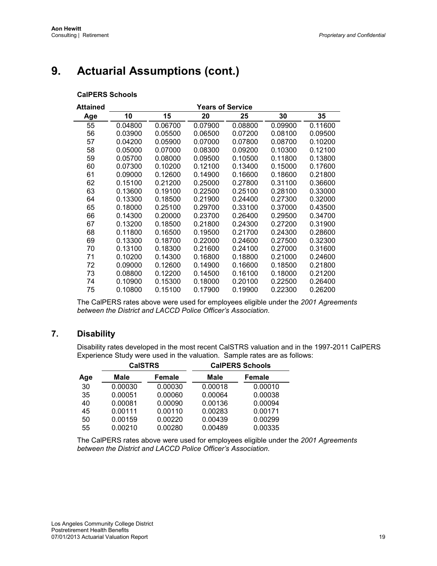### **CalPERS Schools**

| Attained |         |         | <b>Years of Service</b> |         |         |         |
|----------|---------|---------|-------------------------|---------|---------|---------|
| Age      | 10      | 15      | 20                      | 25      | 30      | 35      |
| 55       | 0.04800 | 0.06700 | 0.07900                 | 0.08800 | 0.09900 | 0.11600 |
| 56       | 0.03900 | 0.05500 | 0.06500                 | 0.07200 | 0.08100 | 0.09500 |
| 57       | 0.04200 | 0.05900 | 0.07000                 | 0.07800 | 0.08700 | 0.10200 |
| 58       | 0.05000 | 0.07000 | 0.08300                 | 0.09200 | 0.10300 | 0.12100 |
| 59       | 0.05700 | 0.08000 | 0.09500                 | 0.10500 | 0.11800 | 0.13800 |
| 60       | 0.07300 | 0.10200 | 0.12100                 | 0.13400 | 0.15000 | 0.17600 |
| 61       | 0.09000 | 0.12600 | 0.14900                 | 0.16600 | 0.18600 | 0.21800 |
| 62       | 0.15100 | 0.21200 | 0.25000                 | 0.27800 | 0.31100 | 0.36600 |
| 63       | 0.13600 | 0.19100 | 0.22500                 | 0.25100 | 0.28100 | 0.33000 |
| 64       | 0.13300 | 0.18500 | 0.21900                 | 0.24400 | 0.27300 | 0.32000 |
| 65       | 0.18000 | 0.25100 | 0.29700                 | 0.33100 | 0.37000 | 0.43500 |
| 66       | 0.14300 | 0.20000 | 0.23700                 | 0.26400 | 0.29500 | 0.34700 |
| 67       | 0.13200 | 0.18500 | 0.21800                 | 0.24300 | 0.27200 | 0.31900 |
| 68       | 0.11800 | 0.16500 | 0.19500                 | 0.21700 | 0.24300 | 0.28600 |
| 69       | 0.13300 | 0.18700 | 0.22000                 | 0.24600 | 0.27500 | 0.32300 |
| 70       | 0.13100 | 0.18300 | 0.21600                 | 0.24100 | 0.27000 | 0.31600 |
| 71       | 0.10200 | 0.14300 | 0.16800                 | 0.18800 | 0.21000 | 0.24600 |
| 72       | 0.09000 | 0.12600 | 0.14900                 | 0.16600 | 0.18500 | 0.21800 |
| 73       | 0.08800 | 0.12200 | 0.14500                 | 0.16100 | 0.18000 | 0.21200 |
| 74       | 0.10900 | 0.15300 | 0.18000                 | 0.20100 | 0.22500 | 0.26400 |
| 75       | 0.10800 | 0.15100 | 0.17900                 | 0.19900 | 0.22300 | 0.26200 |

The CalPERS rates above were used for employees eligible under the *2001 Agreements between the District and LACCD Police Officer's Association*.

# **7. Disability**

Disability rates developed in the most recent CalSTRS valuation and in the 1997-2011 CalPERS Experience Study were used in the valuation. Sample rates are as follows:

| Male    | Female  | <b>Male</b>    | <b>Female</b> |                        |  |
|---------|---------|----------------|---------------|------------------------|--|
| 0.00030 | 0.00030 | 0.00018        | 0.00010       |                        |  |
| 0.00051 | 0.00060 | 0.00064        | 0.00038       |                        |  |
| 0.00081 | 0.00090 | 0.00136        | 0.00094       |                        |  |
| 0.00111 | 0.00110 | 0.00283        | 0.00171       |                        |  |
| 0.00159 | 0.00220 | 0.00439        | 0.00299       |                        |  |
| 0.00210 | 0.00280 | 0.00489        | 0.00335       |                        |  |
|         |         | <b>CalSTRS</b> |               | <b>CalPERS Schools</b> |  |

The CalPERS rates above were used for employees eligible under the *2001 Agreements between the District and LACCD Police Officer's Association*.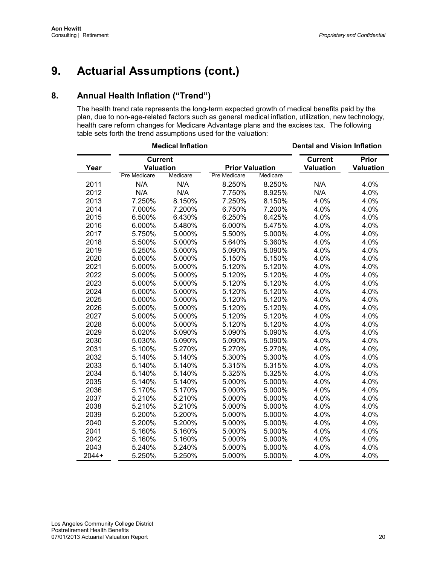# **8. Annual Health Inflation ("Trend")**

The health trend rate represents the long-term expected growth of medical benefits paid by the plan, due to non-age-related factors such as general medical inflation, utilization, new technology, health care reform changes for Medicare Advantage plans and the excises tax. The following table sets forth the trend assumptions used for the valuation:

|       | <b>Medical Inflation</b>           |          |                        | <b>Dental and Vision Inflation</b> |                                    |                                  |
|-------|------------------------------------|----------|------------------------|------------------------------------|------------------------------------|----------------------------------|
| Year  | <b>Current</b><br><b>Valuation</b> |          | <b>Prior Valuation</b> |                                    | <b>Current</b><br><b>Valuation</b> | <b>Prior</b><br><b>Valuation</b> |
|       | Pre Medicare                       | Medicare | Pre Medicare           | Medicare                           |                                    |                                  |
| 2011  | N/A                                | N/A      | 8.250%                 | 8.250%                             | N/A                                | 4.0%                             |
| 2012  | N/A                                | N/A      | 7.750%                 | 8.925%                             | N/A                                | 4.0%                             |
| 2013  | 7.250%                             | 8.150%   | 7.250%                 | 8.150%                             | 4.0%                               | 4.0%                             |
| 2014  | 7.000%                             | 7.200%   | 6.750%                 | 7.200%                             | 4.0%                               | 4.0%                             |
| 2015  | 6.500%                             | 6.430%   | 6.250%                 | 6.425%                             | 4.0%                               | 4.0%                             |
| 2016  | 6.000%                             | 5.480%   | 6.000%                 | 5.475%                             | 4.0%                               | 4.0%                             |
| 2017  | 5.750%                             | 5.000%   | 5.500%                 | 5.000%                             | 4.0%                               | 4.0%                             |
| 2018  | 5.500%                             | 5.000%   | 5.640%                 | 5.360%                             | 4.0%                               | 4.0%                             |
| 2019  | 5.250%                             | 5.000%   | 5.090%                 | 5.090%                             | 4.0%                               | 4.0%                             |
| 2020  | 5.000%                             | 5.000%   | 5.150%                 | 5.150%                             | 4.0%                               | 4.0%                             |
| 2021  | 5.000%                             | 5.000%   | 5.120%                 | 5.120%                             | 4.0%                               | 4.0%                             |
| 2022  | 5.000%                             | 5.000%   | 5.120%                 | 5.120%                             | 4.0%                               | 4.0%                             |
| 2023  | 5.000%                             | 5.000%   | 5.120%                 | 5.120%                             | 4.0%                               | 4.0%                             |
| 2024  | 5.000%                             | 5.000%   | 5.120%                 | 5.120%                             | 4.0%                               | 4.0%                             |
| 2025  | 5.000%                             | 5.000%   | 5.120%                 | 5.120%                             | 4.0%                               | 4.0%                             |
| 2026  | 5.000%                             | 5.000%   | 5.120%                 | 5.120%                             | 4.0%                               | 4.0%                             |
| 2027  | 5.000%                             | 5.000%   | 5.120%                 | 5.120%                             | 4.0%                               | 4.0%                             |
| 2028  | 5.000%                             | 5.000%   | 5.120%                 | 5.120%                             | 4.0%                               | 4.0%                             |
| 2029  | 5.020%                             | 5.090%   | 5.090%                 | 5.090%                             | 4.0%                               | 4.0%                             |
| 2030  | 5.030%                             | 5.090%   | 5.090%                 | 5.090%                             | 4.0%                               | 4.0%                             |
| 2031  | 5.100%                             | 5.270%   | 5.270%                 | 5.270%                             | 4.0%                               | 4.0%                             |
| 2032  | 5.140%                             | 5.140%   | 5.300%                 | 5.300%                             | 4.0%                               | 4.0%                             |
| 2033  | 5.140%                             | 5.140%   | 5.315%                 | 5.315%                             | 4.0%                               | 4.0%                             |
| 2034  | 5.140%                             | 5.140%   | 5.325%                 | 5.325%                             | 4.0%                               | 4.0%                             |
| 2035  | 5.140%                             | 5.140%   | 5.000%                 | 5.000%                             | 4.0%                               | 4.0%                             |
| 2036  | 5.170%                             | 5.170%   | 5.000%                 | 5.000%                             | 4.0%                               | 4.0%                             |
| 2037  | 5.210%                             | 5.210%   | 5.000%                 | 5.000%                             | 4.0%                               | 4.0%                             |
| 2038  | 5.210%                             | 5.210%   | 5.000%                 | 5.000%                             | 4.0%                               | 4.0%                             |
| 2039  | 5.200%                             | 5.200%   | 5.000%                 | 5.000%                             | 4.0%                               | 4.0%                             |
| 2040  | 5.200%                             | 5.200%   | 5.000%                 | 5.000%                             | 4.0%                               | 4.0%                             |
| 2041  | 5.160%                             | 5.160%   | 5.000%                 | 5.000%                             | 4.0%                               | 4.0%                             |
| 2042  | 5.160%                             | 5.160%   | 5.000%                 | 5.000%                             | 4.0%                               | 4.0%                             |
| 2043  | 5.240%                             | 5.240%   | 5.000%                 | 5.000%                             | 4.0%                               | 4.0%                             |
| 2044+ | 5.250%                             | 5.250%   | 5.000%                 | 5.000%                             | 4.0%                               | 4.0%                             |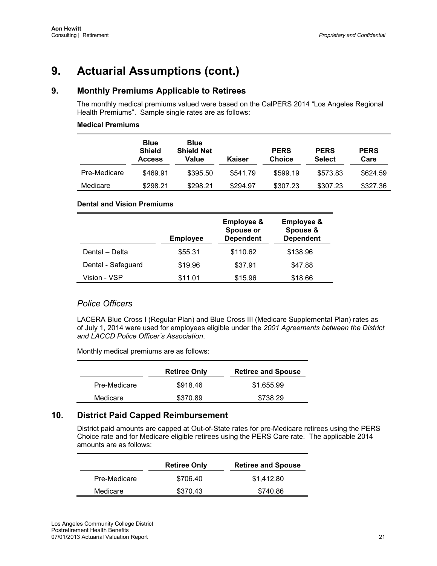# **9. Monthly Premiums Applicable to Retirees**

The monthly medical premiums valued were based on the CalPERS 2014 "Los Angeles Regional Health Premiums". Sample single rates are as follows:

### **Medical Premiums**

|              | <b>Blue</b><br><b>Shield</b><br><b>Access</b> | <b>Blue</b><br><b>Shield Net</b><br>Value | <b>Kaiser</b> | <b>PERS</b><br>Choice | <b>PERS</b><br><b>Select</b> | <b>PERS</b><br>Care |
|--------------|-----------------------------------------------|-------------------------------------------|---------------|-----------------------|------------------------------|---------------------|
| Pre-Medicare | \$469.91                                      | \$395.50                                  | \$541.79      | \$599.19              | \$573.83                     | \$624.59            |
| Medicare     | \$298.21                                      | \$298.21                                  | \$294.97      | \$307.23              | \$307.23                     | \$327.36            |

### **Dental and Vision Premiums**

|                    | <b>Employee</b> | <b>Employee &amp;</b><br>Spouse or<br><b>Dependent</b> | <b>Employee &amp;</b><br>Spouse &<br><b>Dependent</b> |
|--------------------|-----------------|--------------------------------------------------------|-------------------------------------------------------|
| Dental - Delta     | \$55.31         | \$110.62                                               | \$138.96                                              |
| Dental - Safeguard | \$19.96         | \$37.91                                                | \$47.88                                               |
| Vision - VSP       | \$11.01         | \$15.96                                                | \$18.66                                               |

# *Police Officers*

LACERA Blue Cross I (Regular Plan) and Blue Cross III (Medicare Supplemental Plan) rates as of July 1, 2014 were used for employees eligible under the *2001 Agreements between the District and LACCD Police Officer's Association*.

Monthly medical premiums are as follows:

|              | <b>Retiree Only</b> | <b>Retiree and Spouse</b> |
|--------------|---------------------|---------------------------|
| Pre-Medicare | \$918.46            | \$1.655.99                |
| Medicare     | \$370.89            | \$738.29                  |

# **10. District Paid Capped Reimbursement**

District paid amounts are capped at Out-of-State rates for pre-Medicare retirees using the PERS Choice rate and for Medicare eligible retirees using the PERS Care rate. The applicable 2014 amounts are as follows:

|              | <b>Retiree Only</b> | <b>Retiree and Spouse</b> |
|--------------|---------------------|---------------------------|
| Pre-Medicare | \$706.40            | \$1.412.80                |
| Medicare     | \$370.43            | \$740.86                  |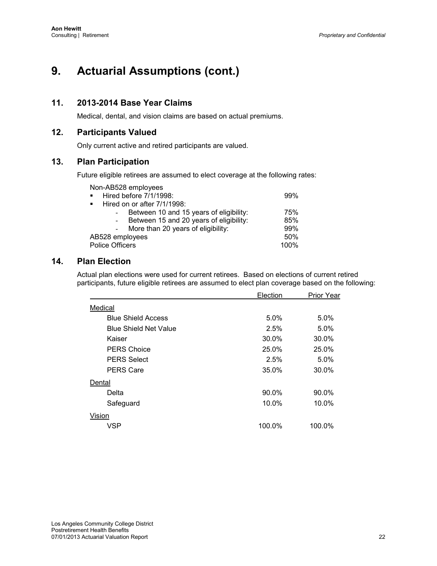# **11. 2013-2014 Base Year Claims**

Medical, dental, and vision claims are based on actual premiums.

# **12. Participants Valued**

Only current active and retired participants are valued.

# **13. Plan Participation**

Future eligible retirees are assumed to elect coverage at the following rates:

| Non-AB528 employees |  |
|---------------------|--|
|---------------------|--|

| Hired before 7/1/1998:<br>$\mathbf{r}$        | 99%  |
|-----------------------------------------------|------|
| Hired on or after 7/1/1998:<br>$\blacksquare$ |      |
| Between 10 and 15 years of eligibility:       | 75%  |
| Between 15 and 20 years of eligibility:       | 85%  |
| More than 20 years of eligibility:            | 99%  |
| AB528 employees                               | 50%  |
| <b>Police Officers</b>                        | 100% |

# **14. Plan Election**

Actual plan elections were used for current retirees. Based on elections of current retired participants, future eligible retirees are assumed to elect plan coverage based on the following:

|         |                              | Election | <b>Prior Year</b> |
|---------|------------------------------|----------|-------------------|
| Medical |                              |          |                   |
|         | <b>Blue Shield Access</b>    | $5.0\%$  | 5.0%              |
|         | <b>Blue Shield Net Value</b> | 2.5%     | 5.0%              |
|         | Kaiser                       | 30.0%    | 30.0%             |
|         | <b>PERS Choice</b>           | 25.0%    | 25.0%             |
|         | <b>PERS Select</b>           | 2.5%     | 5.0%              |
|         | <b>PERS Care</b>             | 35.0%    | 30.0%             |
| Dental  |                              |          |                   |
|         | Delta                        | 90.0%    | 90.0%             |
|         | Safeguard                    | 10.0%    | 10.0%             |
| Vision  |                              |          |                   |
|         | <b>VSP</b>                   | 100.0%   | 100.0%            |
|         |                              |          |                   |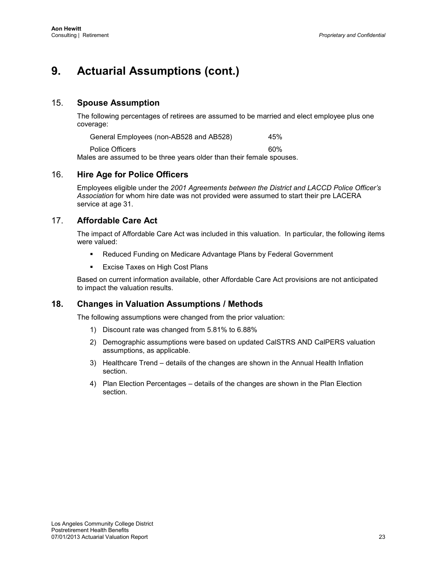# 15. **Spouse Assumption**

The following percentages of retirees are assumed to be married and elect employee plus one coverage:

General Employees (non-AB528 and AB528) 45% Police Officers 60% Males are assumed to be three years older than their female spouses.

### 16. **Hire Age for Police Officers**

Employees eligible under the *2001 Agreements between the District and LACCD Police Officer's Association* for whom hire date was not provided were assumed to start their pre LACERA service at age 31.

# 17. **Affordable Care Act**

The impact of Affordable Care Act was included in this valuation. In particular, the following items were valued:

- Reduced Funding on Medicare Advantage Plans by Federal Government
- **Excise Taxes on High Cost Plans**

Based on current information available, other Affordable Care Act provisions are not anticipated to impact the valuation results.

# **18. Changes in Valuation Assumptions / Methods**

The following assumptions were changed from the prior valuation:

- 1) Discount rate was changed from 5.81% to 6.88%
- 2) Demographic assumptions were based on updated CalSTRS AND CalPERS valuation assumptions, as applicable.
- 3) Healthcare Trend details of the changes are shown in the Annual Health Inflation section.
- 4) Plan Election Percentages details of the changes are shown in the Plan Election section.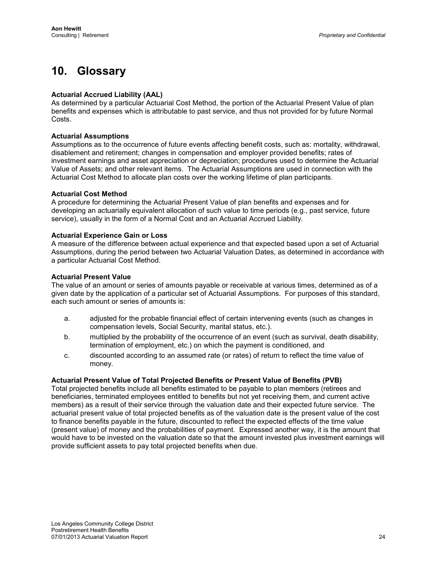# <span id="page-29-0"></span>**10. Glossary**

#### **Actuarial Accrued Liability (AAL)**

As determined by a particular Actuarial Cost Method, the portion of the Actuarial Present Value of plan benefits and expenses which is attributable to past service, and thus not provided for by future Normal Costs.

#### **Actuarial Assumptions**

Assumptions as to the occurrence of future events affecting benefit costs, such as: mortality, withdrawal, disablement and retirement; changes in compensation and employer provided benefits; rates of investment earnings and asset appreciation or depreciation; procedures used to determine the Actuarial Value of Assets; and other relevant items. The Actuarial Assumptions are used in connection with the Actuarial Cost Method to allocate plan costs over the working lifetime of plan participants.

#### **Actuarial Cost Method**

A procedure for determining the Actuarial Present Value of plan benefits and expenses and for developing an actuarially equivalent allocation of such value to time periods (e.g., past service, future service), usually in the form of a Normal Cost and an Actuarial Accrued Liability.

#### **Actuarial Experience Gain or Loss**

A measure of the difference between actual experience and that expected based upon a set of Actuarial Assumptions, during the period between two Actuarial Valuation Dates, as determined in accordance with a particular Actuarial Cost Method.

#### **Actuarial Present Value**

The value of an amount or series of amounts payable or receivable at various times, determined as of a given date by the application of a particular set of Actuarial Assumptions. For purposes of this standard, each such amount or series of amounts is:

- a. adjusted for the probable financial effect of certain intervening events (such as changes in compensation levels, Social Security, marital status, etc.).
- b. multiplied by the probability of the occurrence of an event (such as survival, death disability, termination of employment, etc.) on which the payment is conditioned, and
- c. discounted according to an assumed rate (or rates) of return to reflect the time value of money.

#### **Actuarial Present Value of Total Projected Benefits or Present Value of Benefits (PVB)**

Total projected benefits include all benefits estimated to be payable to plan members (retirees and beneficiaries, terminated employees entitled to benefits but not yet receiving them, and current active members) as a result of their service through the valuation date and their expected future service. The actuarial present value of total projected benefits as of the valuation date is the present value of the cost to finance benefits payable in the future, discounted to reflect the expected effects of the time value (present value) of money and the probabilities of payment. Expressed another way, it is the amount that would have to be invested on the valuation date so that the amount invested plus investment earnings will provide sufficient assets to pay total projected benefits when due.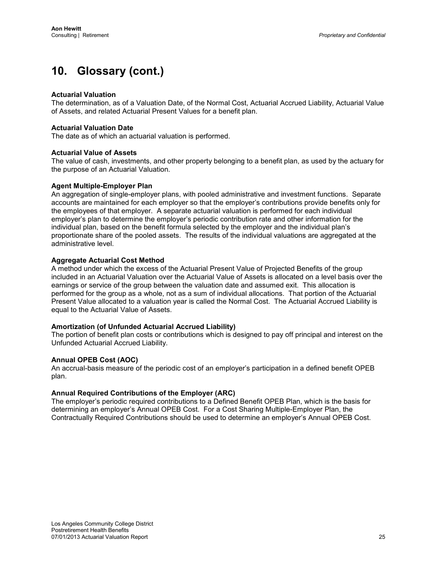### **Actuarial Valuation**

The determination, as of a Valuation Date, of the Normal Cost, Actuarial Accrued Liability, Actuarial Value of Assets, and related Actuarial Present Values for a benefit plan.

### **Actuarial Valuation Date**

The date as of which an actuarial valuation is performed.

#### **Actuarial Value of Assets**

The value of cash, investments, and other property belonging to a benefit plan, as used by the actuary for the purpose of an Actuarial Valuation.

### **Agent Multiple-Employer Plan**

An aggregation of single-employer plans, with pooled administrative and investment functions. Separate accounts are maintained for each employer so that the employer's contributions provide benefits only for the employees of that employer. A separate actuarial valuation is performed for each individual employer's plan to determine the employer's periodic contribution rate and other information for the individual plan, based on the benefit formula selected by the employer and the individual plan's proportionate share of the pooled assets. The results of the individual valuations are aggregated at the administrative level.

### **Aggregate Actuarial Cost Method**

A method under which the excess of the Actuarial Present Value of Projected Benefits of the group included in an Actuarial Valuation over the Actuarial Value of Assets is allocated on a level basis over the earnings or service of the group between the valuation date and assumed exit. This allocation is performed for the group as a whole, not as a sum of individual allocations. That portion of the Actuarial Present Value allocated to a valuation year is called the Normal Cost. The Actuarial Accrued Liability is equal to the Actuarial Value of Assets.

### **Amortization (of Unfunded Actuarial Accrued Liability)**

The portion of benefit plan costs or contributions which is designed to pay off principal and interest on the Unfunded Actuarial Accrued Liability.

### **Annual OPEB Cost (AOC)**

An accrual-basis measure of the periodic cost of an employer's participation in a defined benefit OPEB plan.

### **Annual Required Contributions of the Employer (ARC)**

The employer's periodic required contributions to a Defined Benefit OPEB Plan, which is the basis for determining an employer's Annual OPEB Cost. For a Cost Sharing Multiple-Employer Plan, the Contractually Required Contributions should be used to determine an employer's Annual OPEB Cost.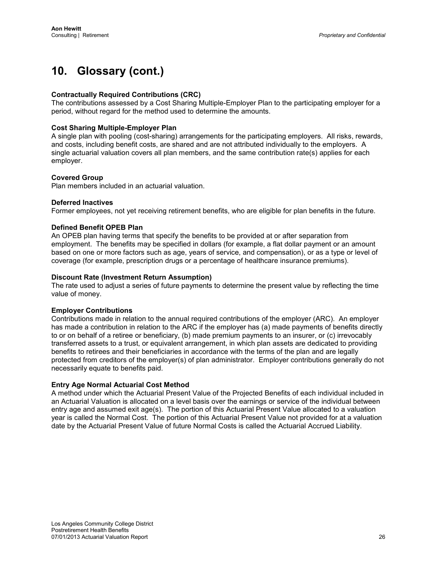### **Contractually Required Contributions (CRC)**

The contributions assessed by a Cost Sharing Multiple-Employer Plan to the participating employer for a period, without regard for the method used to determine the amounts.

### **Cost Sharing Multiple-Employer Plan**

A single plan with pooling (cost-sharing) arrangements for the participating employers. All risks, rewards, and costs, including benefit costs, are shared and are not attributed individually to the employers. A single actuarial valuation covers all plan members, and the same contribution rate(s) applies for each employer.

#### **Covered Group**

Plan members included in an actuarial valuation.

#### **Deferred Inactives**

Former employees, not yet receiving retirement benefits, who are eligible for plan benefits in the future.

#### **Defined Benefit OPEB Plan**

An OPEB plan having terms that specify the benefits to be provided at or after separation from employment. The benefits may be specified in dollars (for example, a flat dollar payment or an amount based on one or more factors such as age, years of service, and compensation), or as a type or level of coverage (for example, prescription drugs or a percentage of healthcare insurance premiums).

#### **Discount Rate (Investment Return Assumption)**

The rate used to adjust a series of future payments to determine the present value by reflecting the time value of money.

#### **Employer Contributions**

Contributions made in relation to the annual required contributions of the employer (ARC). An employer has made a contribution in relation to the ARC if the employer has (a) made payments of benefits directly to or on behalf of a retiree or beneficiary, (b) made premium payments to an insurer, or (c) irrevocably transferred assets to a trust, or equivalent arrangement, in which plan assets are dedicated to providing benefits to retirees and their beneficiaries in accordance with the terms of the plan and are legally protected from creditors of the employer(s) of plan administrator. Employer contributions generally do not necessarily equate to benefits paid.

#### **Entry Age Normal Actuarial Cost Method**

A method under which the Actuarial Present Value of the Projected Benefits of each individual included in an Actuarial Valuation is allocated on a level basis over the earnings or service of the individual between entry age and assumed exit age(s). The portion of this Actuarial Present Value allocated to a valuation year is called the Normal Cost. The portion of this Actuarial Present Value not provided for at a valuation date by the Actuarial Present Value of future Normal Costs is called the Actuarial Accrued Liability.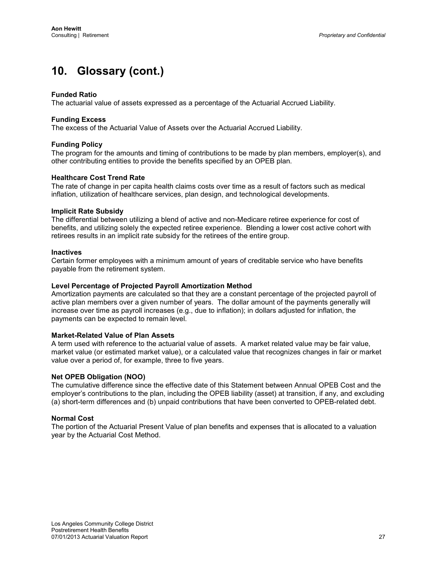### **Funded Ratio**

The actuarial value of assets expressed as a percentage of the Actuarial Accrued Liability.

### **Funding Excess**

The excess of the Actuarial Value of Assets over the Actuarial Accrued Liability.

#### **Funding Policy**

The program for the amounts and timing of contributions to be made by plan members, employer(s), and other contributing entities to provide the benefits specified by an OPEB plan.

#### **Healthcare Cost Trend Rate**

The rate of change in per capita health claims costs over time as a result of factors such as medical inflation, utilization of healthcare services, plan design, and technological developments.

#### **Implicit Rate Subsidy**

The differential between utilizing a blend of active and non-Medicare retiree experience for cost of benefits, and utilizing solely the expected retiree experience. Blending a lower cost active cohort with retirees results in an implicit rate subsidy for the retirees of the entire group.

#### **Inactives**

Certain former employees with a minimum amount of years of creditable service who have benefits payable from the retirement system.

#### **Level Percentage of Projected Payroll Amortization Method**

Amortization payments are calculated so that they are a constant percentage of the projected payroll of active plan members over a given number of years. The dollar amount of the payments generally will increase over time as payroll increases (e.g., due to inflation); in dollars adjusted for inflation, the payments can be expected to remain level.

#### **Market-Related Value of Plan Assets**

A term used with reference to the actuarial value of assets. A market related value may be fair value, market value (or estimated market value), or a calculated value that recognizes changes in fair or market value over a period of, for example, three to five years.

#### **Net OPEB Obligation (NOO)**

The cumulative difference since the effective date of this Statement between Annual OPEB Cost and the employer's contributions to the plan, including the OPEB liability (asset) at transition, if any, and excluding (a) short-term differences and (b) unpaid contributions that have been converted to OPEB-related debt.

#### **Normal Cost**

The portion of the Actuarial Present Value of plan benefits and expenses that is allocated to a valuation year by the Actuarial Cost Method.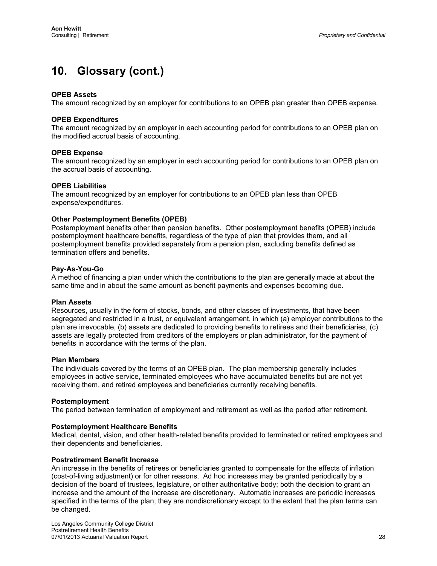### **OPEB Assets**

The amount recognized by an employer for contributions to an OPEB plan greater than OPEB expense.

### **OPEB Expenditures**

The amount recognized by an employer in each accounting period for contributions to an OPEB plan on the modified accrual basis of accounting.

#### **OPEB Expense**

The amount recognized by an employer in each accounting period for contributions to an OPEB plan on the accrual basis of accounting.

#### **OPEB Liabilities**

The amount recognized by an employer for contributions to an OPEB plan less than OPEB expense/expenditures.

### **Other Postemployment Benefits (OPEB)**

Postemployment benefits other than pension benefits. Other postemployment benefits (OPEB) include postemployment healthcare benefits, regardless of the type of plan that provides them, and all postemployment benefits provided separately from a pension plan, excluding benefits defined as termination offers and benefits.

### **Pay-As-You-Go**

A method of financing a plan under which the contributions to the plan are generally made at about the same time and in about the same amount as benefit payments and expenses becoming due.

#### **Plan Assets**

Resources, usually in the form of stocks, bonds, and other classes of investments, that have been segregated and restricted in a trust, or equivalent arrangement, in which (a) employer contributions to the plan are irrevocable, (b) assets are dedicated to providing benefits to retirees and their beneficiaries, (c) assets are legally protected from creditors of the employers or plan administrator, for the payment of benefits in accordance with the terms of the plan.

#### **Plan Members**

The individuals covered by the terms of an OPEB plan. The plan membership generally includes employees in active service, terminated employees who have accumulated benefits but are not yet receiving them, and retired employees and beneficiaries currently receiving benefits.

#### **Postemployment**

The period between termination of employment and retirement as well as the period after retirement.

#### **Postemployment Healthcare Benefits**

Medical, dental, vision, and other health-related benefits provided to terminated or retired employees and their dependents and beneficiaries.

#### **Postretirement Benefit Increase**

An increase in the benefits of retirees or beneficiaries granted to compensate for the effects of inflation (cost-of-living adjustment) or for other reasons. Ad hoc increases may be granted periodically by a decision of the board of trustees, legislature, or other authoritative body; both the decision to grant an increase and the amount of the increase are discretionary. Automatic increases are periodic increases specified in the terms of the plan; they are nondiscretionary except to the extent that the plan terms can be changed.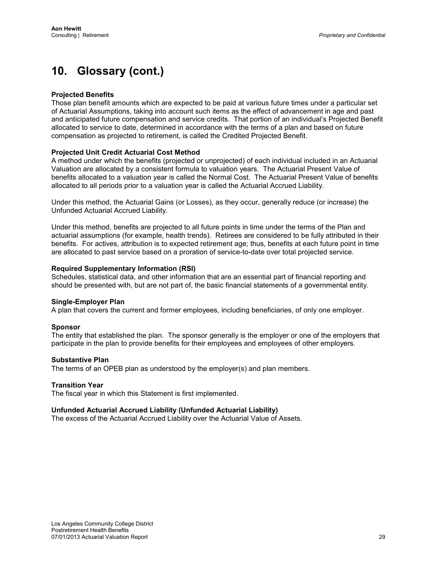### **Projected Benefits**

Those plan benefit amounts which are expected to be paid at various future times under a particular set of Actuarial Assumptions, taking into account such items as the effect of advancement in age and past and anticipated future compensation and service credits. That portion of an individual's Projected Benefit allocated to service to date, determined in accordance with the terms of a plan and based on future compensation as projected to retirement, is called the Credited Projected Benefit.

### **Projected Unit Credit Actuarial Cost Method**

A method under which the benefits (projected or unprojected) of each individual included in an Actuarial Valuation are allocated by a consistent formula to valuation years. The Actuarial Present Value of benefits allocated to a valuation year is called the Normal Cost. The Actuarial Present Value of benefits allocated to all periods prior to a valuation year is called the Actuarial Accrued Liability.

Under this method, the Actuarial Gains (or Losses), as they occur, generally reduce (or increase) the Unfunded Actuarial Accrued Liability.

Under this method, benefits are projected to all future points in time under the terms of the Plan and actuarial assumptions (for example, health trends). Retirees are considered to be fully attributed in their benefits. For actives, attribution is to expected retirement age; thus, benefits at each future point in time are allocated to past service based on a proration of service-to-date over total projected service.

#### **Required Supplementary Information (RSI)**

Schedules, statistical data, and other information that are an essential part of financial reporting and should be presented with, but are not part of, the basic financial statements of a governmental entity.

#### **Single-Employer Plan**

A plan that covers the current and former employees, including beneficiaries, of only one employer.

#### **Sponsor**

The entity that established the plan. The sponsor generally is the employer or one of the employers that participate in the plan to provide benefits for their employees and employees of other employers.

#### **Substantive Plan**

The terms of an OPEB plan as understood by the employer(s) and plan members.

#### **Transition Year**

The fiscal year in which this Statement is first implemented.

#### **Unfunded Actuarial Accrued Liability (Unfunded Actuarial Liability)**

The excess of the Actuarial Accrued Liability over the Actuarial Value of Assets.